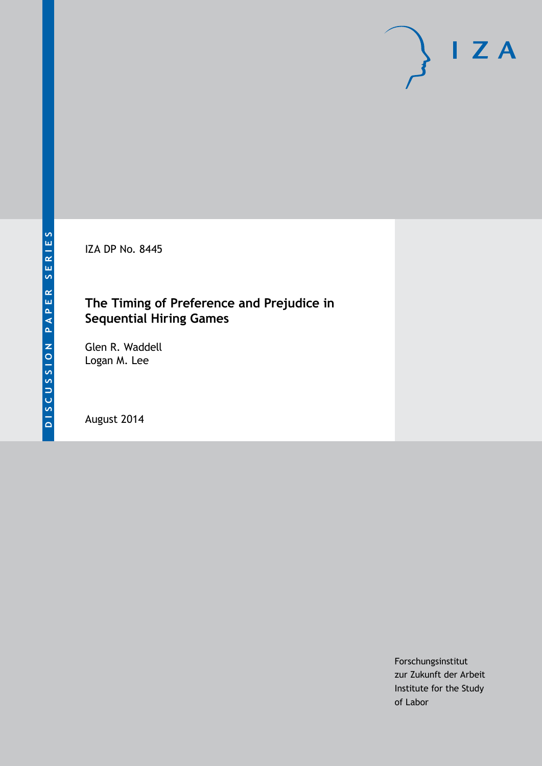IZA DP No. 8445

## **The Timing of Preference and Prejudice in Sequential Hiring Games**

Glen R. Waddell Logan M. Lee

August 2014

Forschungsinstitut zur Zukunft der Arbeit Institute for the Study of Labor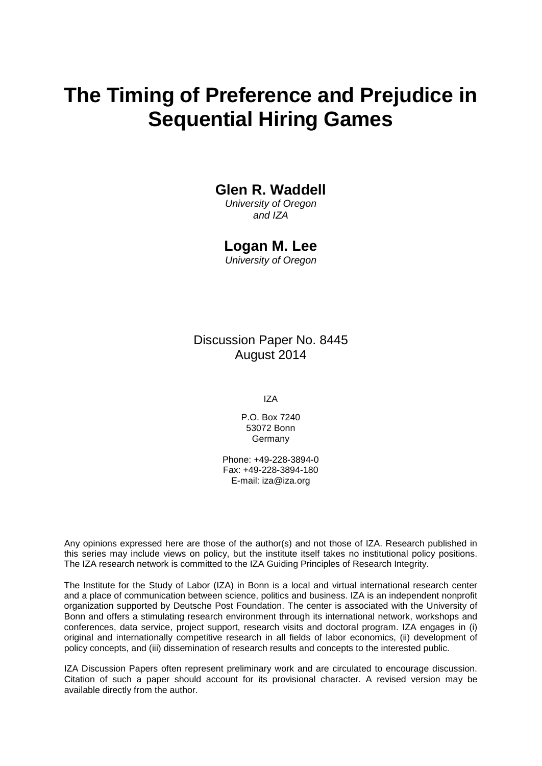# **The Timing of Preference and Prejudice in Sequential Hiring Games**

### **Glen R. Waddell**

*University of Oregon and IZA*

#### **Logan M. Lee**

*University of Oregon*

Discussion Paper No. 8445 August 2014

IZA

P.O. Box 7240 53072 Bonn Germany

Phone: +49-228-3894-0 Fax: +49-228-3894-180 E-mail: [iza@iza.org](mailto:iza@iza.org)

Any opinions expressed here are those of the author(s) and not those of IZA. Research published in this series may include views on policy, but the institute itself takes no institutional policy positions. The IZA research network is committed to the IZA Guiding Principles of Research Integrity.

The Institute for the Study of Labor (IZA) in Bonn is a local and virtual international research center and a place of communication between science, politics and business. IZA is an independent nonprofit organization supported by Deutsche Post Foundation. The center is associated with the University of Bonn and offers a stimulating research environment through its international network, workshops and conferences, data service, project support, research visits and doctoral program. IZA engages in (i) original and internationally competitive research in all fields of labor economics, (ii) development of policy concepts, and (iii) dissemination of research results and concepts to the interested public.

<span id="page-1-0"></span>IZA Discussion Papers often represent preliminary work and are circulated to encourage discussion. Citation of such a paper should account for its provisional character. A revised version may be available directly from the author.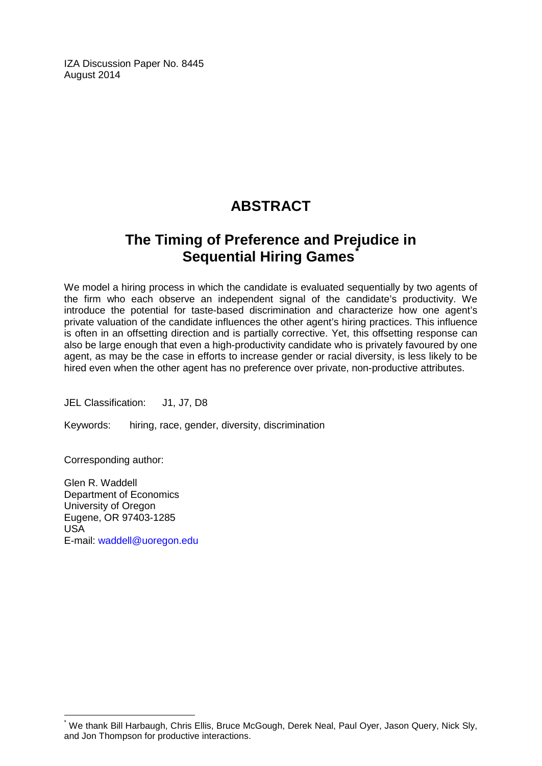IZA Discussion Paper No. 8445 August 2014

## **ABSTRACT**

## **The Timing of Preference and Prejudice in Sequential Hiring Games[\\*](#page-1-0)**

We model a hiring process in which the candidate is evaluated sequentially by two agents of the firm who each observe an independent signal of the candidate's productivity. We introduce the potential for taste-based discrimination and characterize how one agent's private valuation of the candidate influences the other agent's hiring practices. This influence is often in an offsetting direction and is partially corrective. Yet, this offsetting response can also be large enough that even a high-productivity candidate who is privately favoured by one agent, as may be the case in efforts to increase gender or racial diversity, is less likely to be hired even when the other agent has no preference over private, non-productive attributes.

JEL Classification: J1, J7, D8

Keywords: hiring, race, gender, diversity, discrimination

Corresponding author:

Glen R. Waddell Department of Economics University of Oregon Eugene, OR 97403-1285 USA E-mail: [waddell@uoregon.edu](mailto:waddell@uoregon.edu)

We thank Bill Harbaugh, Chris Ellis, Bruce McGough, Derek Neal, Paul Oyer, Jason Query, Nick Sly, and Jon Thompson for productive interactions.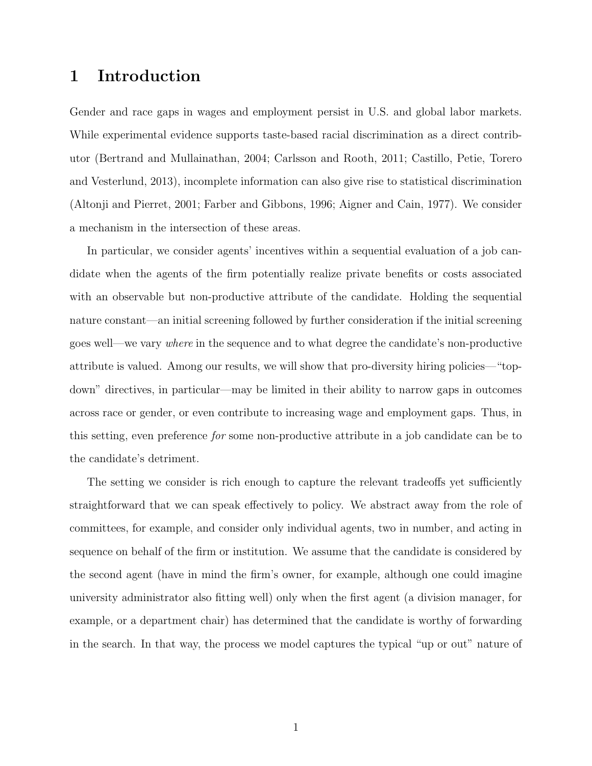## 1 Introduction

Gender and race gaps in wages and employment persist in U.S. and global labor markets. While experimental evidence supports taste-based racial discrimination as a direct contributor [\(Bertrand and Mullainathan, 2004;](#page-26-0) [Carlsson and Rooth,](#page-26-1) [2011;](#page-26-1) [Castillo, Petie, Torero](#page-26-2) [and Vesterlund, 2013\)](#page-26-2), incomplete information can also give rise to statistical discrimination [\(Altonji and Pierret, 2001;](#page-25-0) [Farber and Gibbons, 1996;](#page-26-3) [Aigner and Cain, 1977\)](#page-25-1). We consider a mechanism in the intersection of these areas.

In particular, we consider agents' incentives within a sequential evaluation of a job candidate when the agents of the firm potentially realize private benefits or costs associated with an observable but non-productive attribute of the candidate. Holding the sequential nature constant—an initial screening followed by further consideration if the initial screening goes well—we vary where in the sequence and to what degree the candidate's non-productive attribute is valued. Among our results, we will show that pro-diversity hiring policies—"topdown" directives, in particular—may be limited in their ability to narrow gaps in outcomes across race or gender, or even contribute to increasing wage and employment gaps. Thus, in this setting, even preference for some non-productive attribute in a job candidate can be to the candidate's detriment.

The setting we consider is rich enough to capture the relevant tradeoffs yet sufficiently straightforward that we can speak effectively to policy. We abstract away from the role of committees, for example, and consider only individual agents, two in number, and acting in sequence on behalf of the firm or institution. We assume that the candidate is considered by the second agent (have in mind the firm's owner, for example, although one could imagine university administrator also fitting well) only when the first agent (a division manager, for example, or a department chair) has determined that the candidate is worthy of forwarding in the search. In that way, the process we model captures the typical "up or out" nature of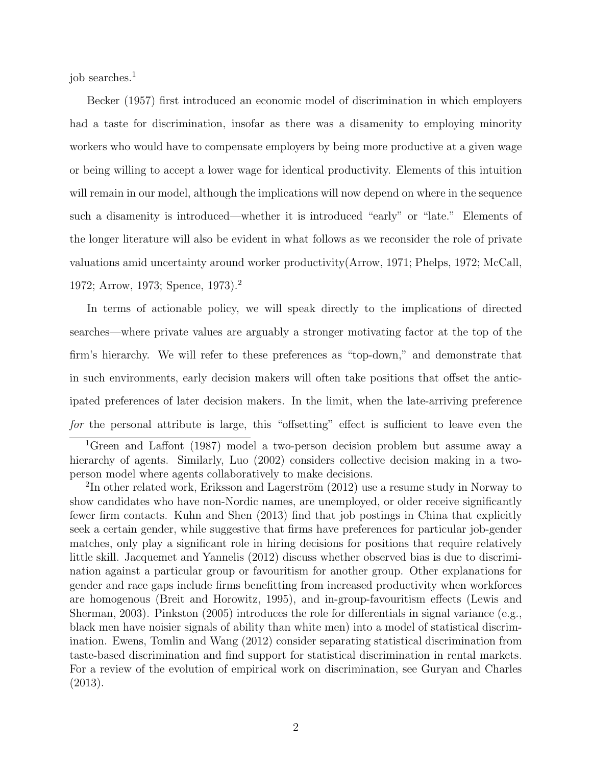job searches.<sup>1</sup>

[Becker \(1957\)](#page-26-4) first introduced an economic model of discrimination in which employers had a taste for discrimination, insofar as there was a disamenity to employing minority workers who would have to compensate employers by being more productive at a given wage or being willing to accept a lower wage for identical productivity. Elements of this intuition will remain in our model, although the implications will now depend on where in the sequence such a disamenity is introduced—whether it is introduced "early" or "late." Elements of the longer literature will also be evident in what follows as we reconsider the role of private valuations amid uncertainty around worker productivity[\(Arrow, 1971;](#page-25-2) [Phelps, 1972;](#page-27-0) [McCall,](#page-27-1) [1972;](#page-27-1) [Arrow, 1973;](#page-26-5) [Spence, 1973\)](#page-27-2).<sup>2</sup>

In terms of actionable policy, we will speak directly to the implications of directed searches—where private values are arguably a stronger motivating factor at the top of the firm's hierarchy. We will refer to these preferences as "top-down," and demonstrate that in such environments, early decision makers will often take positions that offset the anticipated preferences of later decision makers. In the limit, when the late-arriving preference for the personal attribute is large, this "offsetting" effect is sufficient to leave even the

<sup>1</sup>[Green and Laffont \(1987\)](#page-26-6) model a two-person decision problem but assume away a hierarchy of agents. Similarly, [Luo \(2002\)](#page-27-3) considers collective decision making in a twoperson model where agents collaboratively to make decisions.

 $2\text{In other related work, Eriksson and Lagerström (2012) use a resume study in Norway to }$ show candidates who have non-Nordic names, are unemployed, or older receive significantly fewer firm contacts. [Kuhn and Shen \(2013\)](#page-26-8) find that job postings in China that explicitly seek a certain gender, while suggestive that firms have preferences for particular job-gender matches, only play a significant role in hiring decisions for positions that require relatively little skill. [Jacquemet and Yannelis \(2012\)](#page-26-9) discuss whether observed bias is due to discrimination against a particular group or favouritism for another group. Other explanations for gender and race gaps include firms benefitting from increased productivity when workforces are homogenous [\(Breit and Horowitz, 1995\)](#page-26-10), and in-group-favouritism effects [\(Lewis and](#page-27-4) [Sherman, 2003\)](#page-27-4). [Pinkston \(2005\)](#page-27-5) introduces the role for differentials in signal variance (e.g., black men have noisier signals of ability than white men) into a model of statistical discrimination. [Ewens, Tomlin and Wang \(2012\)](#page-26-11) consider separating statistical discrimination from taste-based discrimination and find support for statistical discrimination in rental markets. For a review of the evolution of empirical work on discrimination, see [Guryan and Charles](#page-26-12) [\(2013\)](#page-26-12).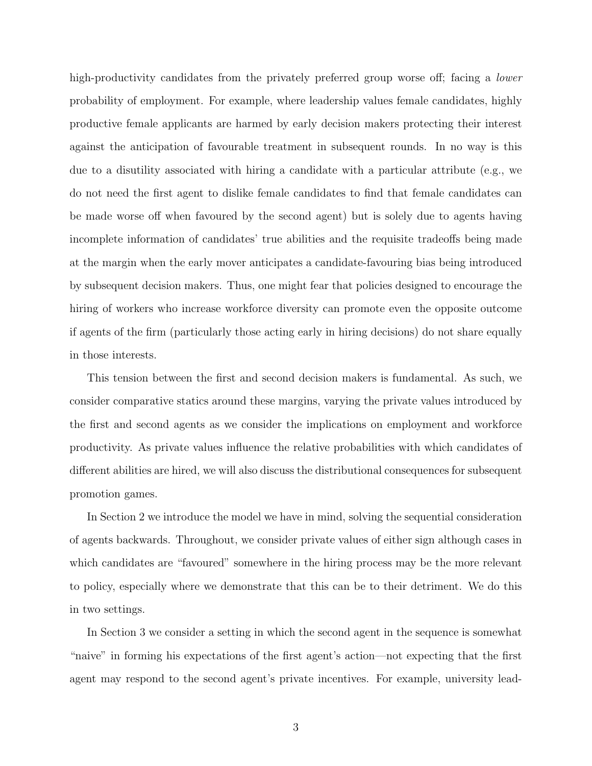high-productivity candidates from the privately preferred group worse off; facing a *lower* probability of employment. For example, where leadership values female candidates, highly productive female applicants are harmed by early decision makers protecting their interest against the anticipation of favourable treatment in subsequent rounds. In no way is this due to a disutility associated with hiring a candidate with a particular attribute (e.g., we do not need the first agent to dislike female candidates to find that female candidates can be made worse off when favoured by the second agent) but is solely due to agents having incomplete information of candidates' true abilities and the requisite tradeoffs being made at the margin when the early mover anticipates a candidate-favouring bias being introduced by subsequent decision makers. Thus, one might fear that policies designed to encourage the hiring of workers who increase workforce diversity can promote even the opposite outcome if agents of the firm (particularly those acting early in hiring decisions) do not share equally in those interests.

This tension between the first and second decision makers is fundamental. As such, we consider comparative statics around these margins, varying the private values introduced by the first and second agents as we consider the implications on employment and workforce productivity. As private values influence the relative probabilities with which candidates of different abilities are hired, we will also discuss the distributional consequences for subsequent promotion games.

In Section [2](#page-6-0) we introduce the model we have in mind, solving the sequential consideration of agents backwards. Throughout, we consider private values of either sign although cases in which candidates are "favoured" somewhere in the hiring process may be the more relevant to policy, especially where we demonstrate that this can be to their detriment. We do this in two settings.

In Section [3](#page-10-0) we consider a setting in which the second agent in the sequence is somewhat "naive" in forming his expectations of the first agent's action—not expecting that the first agent may respond to the second agent's private incentives. For example, university lead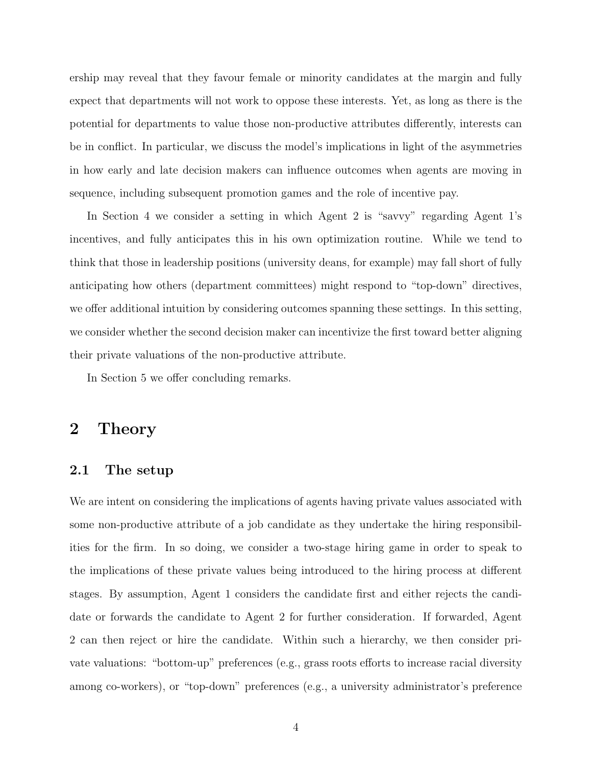ership may reveal that they favour female or minority candidates at the margin and fully expect that departments will not work to oppose these interests. Yet, as long as there is the potential for departments to value those non-productive attributes differently, interests can be in conflict. In particular, we discuss the model's implications in light of the asymmetries in how early and late decision makers can influence outcomes when agents are moving in sequence, including subsequent promotion games and the role of incentive pay.

In Section [4](#page-17-0) we consider a setting in which Agent 2 is "savvy" regarding Agent 1's incentives, and fully anticipates this in his own optimization routine. While we tend to think that those in leadership positions (university deans, for example) may fall short of fully anticipating how others (department committees) might respond to "top-down" directives, we offer additional intuition by considering outcomes spanning these settings. In this setting, we consider whether the second decision maker can incentivize the first toward better aligning their private valuations of the non-productive attribute.

In Section [5](#page-23-0) we offer concluding remarks.

### <span id="page-6-0"></span>2 Theory

#### 2.1 The setup

We are intent on considering the implications of agents having private values associated with some non-productive attribute of a job candidate as they undertake the hiring responsibilities for the firm. In so doing, we consider a two-stage hiring game in order to speak to the implications of these private values being introduced to the hiring process at different stages. By assumption, Agent 1 considers the candidate first and either rejects the candidate or forwards the candidate to Agent 2 for further consideration. If forwarded, Agent 2 can then reject or hire the candidate. Within such a hierarchy, we then consider private valuations: "bottom-up" preferences (e.g., grass roots efforts to increase racial diversity among co-workers), or "top-down" preferences (e.g., a university administrator's preference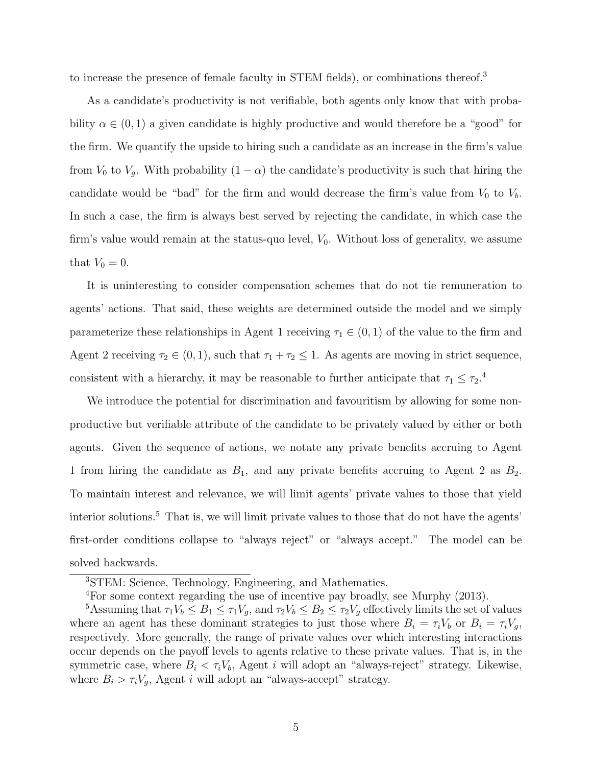to increase the presence of female faculty in STEM fields), or combinations thereof.<sup>3</sup>

As a candidate's productivity is not verifiable, both agents only know that with probability  $\alpha \in (0,1)$  a given candidate is highly productive and would therefore be a "good" for the firm. We quantify the upside to hiring such a candidate as an increase in the firm's value from  $V_0$  to  $V_g$ . With probability  $(1 - \alpha)$  the candidate's productivity is such that hiring the candidate would be "bad" for the firm and would decrease the firm's value from  $V_0$  to  $V_b$ . In such a case, the firm is always best served by rejecting the candidate, in which case the firm's value would remain at the status-quo level,  $V_0$ . Without loss of generality, we assume that  $V_0 = 0$ .

It is uninteresting to consider compensation schemes that do not tie remuneration to agents' actions. That said, these weights are determined outside the model and we simply parameterize these relationships in Agent 1 receiving  $\tau_1 \in (0,1)$  of the value to the firm and Agent 2 receiving  $\tau_2 \in (0,1)$ , such that  $\tau_1 + \tau_2 \leq 1$ . As agents are moving in strict sequence, consistent with a hierarchy, it may be reasonable to further anticipate that  $\tau_1 \leq \tau_2$ .<sup>4</sup>

We introduce the potential for discrimination and favouritism by allowing for some nonproductive but verifiable attribute of the candidate to be privately valued by either or both agents. Given the sequence of actions, we notate any private benefits accruing to Agent 1 from hiring the candidate as  $B_1$ , and any private benefits accruing to Agent 2 as  $B_2$ . To maintain interest and relevance, we will limit agents' private values to those that yield interior solutions.<sup>5</sup> That is, we will limit private values to those that do not have the agents' first-order conditions collapse to "always reject" or "always accept." The model can be solved backwards.

<sup>3</sup>STEM: Science, Technology, Engineering, and Mathematics.

<sup>4</sup>For some context regarding the use of incentive pay broadly, see [Murphy \(2013\)](#page-27-6).

<sup>&</sup>lt;sup>5</sup>Assuming that  $\tau_1V_b \leq B_1 \leq \tau_1V_g$ , and  $\tau_2V_b \leq B_2 \leq \tau_2V_g$  effectively limits the set of values where an agent has these dominant strategies to just those where  $B_i = \tau_i V_b$  or  $B_i = \tau_i V_g$ , respectively. More generally, the range of private values over which interesting interactions occur depends on the payoff levels to agents relative to these private values. That is, in the symmetric case, where  $B_i < \tau_i V_b$ , Agent i will adopt an "always-reject" strategy. Likewise, where  $B_i > \tau_i V_g$ , Agent *i* will adopt an "always-accept" strategy.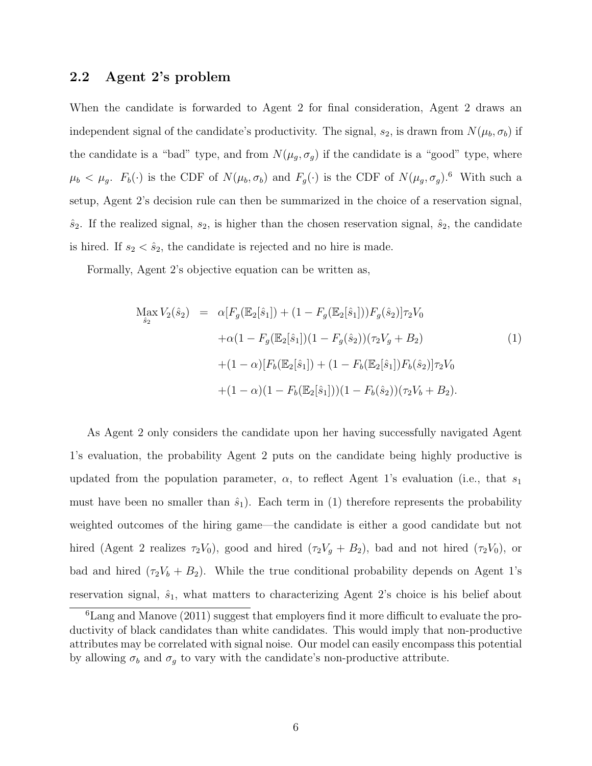#### 2.2 Agent 2's problem

When the candidate is forwarded to Agent 2 for final consideration, Agent 2 draws an independent signal of the candidate's productivity. The signal,  $s_2$ , is drawn from  $N(\mu_b, \sigma_b)$  if the candidate is a "bad" type, and from  $N(\mu_g, \sigma_g)$  if the candidate is a "good" type, where  $\mu_b < \mu_g$ .  $F_b(\cdot)$  is the CDF of  $N(\mu_b, \sigma_b)$  and  $F_g(\cdot)$  is the CDF of  $N(\mu_g, \sigma_g)$ .<sup>6</sup> With such a setup, Agent 2's decision rule can then be summarized in the choice of a reservation signal,  $\hat{s}_2$ . If the realized signal,  $s_2$ , is higher than the chosen reservation signal,  $\hat{s}_2$ , the candidate is hired. If  $s_2 < \hat{s}_2$ , the candidate is rejected and no hire is made.

Formally, Agent 2's objective equation can be written as,

<span id="page-8-0"></span>
$$
\begin{split} \mathcal{M}_{\hat{s}_2} &= \alpha [F_g(\mathbb{E}_2[\hat{s}_1]) + (1 - F_g(\mathbb{E}_2[\hat{s}_1])) F_g(\hat{s}_2)] \tau_2 V_0 \\ &+ \alpha (1 - F_g(\mathbb{E}_2[\hat{s}_1])(1 - F_g(\hat{s}_2)) (\tau_2 V_g + B_2) \\ &+ (1 - \alpha) [F_b(\mathbb{E}_2[\hat{s}_1]) + (1 - F_b(\mathbb{E}_2[\hat{s}_1]) F_b(\hat{s}_2)] \tau_2 V_0 \\ &+ (1 - \alpha) (1 - F_b(\mathbb{E}_2[\hat{s}_1])) (1 - F_b(\hat{s}_2)) (\tau_2 V_b + B_2). \end{split} \tag{1}
$$

As Agent 2 only considers the candidate upon her having successfully navigated Agent 1's evaluation, the probability Agent 2 puts on the candidate being highly productive is updated from the population parameter,  $\alpha$ , to reflect Agent 1's evaluation (i.e., that  $s_1$ must have been no smaller than  $\hat{s}_1$ ). Each term in [\(1\)](#page-8-0) therefore represents the probability weighted outcomes of the hiring game—the candidate is either a good candidate but not hired (Agent 2 realizes  $\tau_2V_0$ ), good and hired  $(\tau_2V_g + B_2)$ , bad and not hired  $(\tau_2V_0)$ , or bad and hired  $(\tau_2 V_b + B_2)$ . While the true conditional probability depends on Agent 1's reservation signal,  $\hat{s}_1$ , what matters to characterizing Agent 2's choice is his belief about

<sup>6</sup>[Lang and Manove \(2011\)](#page-26-13) suggest that employers find it more difficult to evaluate the productivity of black candidates than white candidates. This would imply that non-productive attributes may be correlated with signal noise. Our model can easily encompass this potential by allowing  $\sigma_b$  and  $\sigma_g$  to vary with the candidate's non-productive attribute.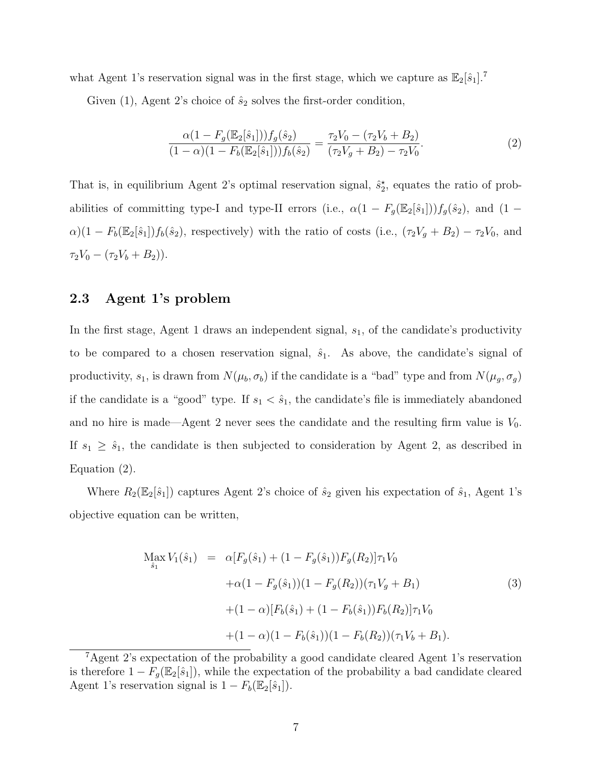what Agent 1's reservation signal was in the first stage, which we capture as  $\mathbb{E}_2[\hat{s}_1]$ .<sup>7</sup>

Given [\(1\)](#page-8-0), Agent 2's choice of  $\hat{s}_2$  solves the first-order condition,

<span id="page-9-0"></span>
$$
\frac{\alpha(1 - F_g(\mathbb{E}_2[\hat{s}_1])) f_g(\hat{s}_2)}{(1 - \alpha)(1 - F_b(\mathbb{E}_2[\hat{s}_1])) f_b(\hat{s}_2)} = \frac{\tau_2 V_0 - (\tau_2 V_b + B_2)}{(\tau_2 V_g + B_2) - \tau_2 V_0}.
$$
\n(2)

That is, in equilibrium Agent 2's optimal reservation signal,  $\hat{s}_2^*$ , equates the ratio of probabilities of committing type-I and type-II errors (i.e.,  $\alpha(1 - F_g(\mathbb{E}_2[\hat{s}_1]))f_g(\hat{s}_2)$ , and (1 –  $\alpha$ )(1 –  $F_b(\mathbb{E}_2[\hat{s}_1])f_b(\hat{s}_2)$ , respectively) with the ratio of costs (i.e.,  $(\tau_2V_g + B_2) - \tau_2V_0$ , and  $\tau_2V_0 - (\tau_2V_b + B_2)).$ 

#### 2.3 Agent 1's problem

In the first stage, Agent 1 draws an independent signal,  $s<sub>1</sub>$ , of the candidate's productivity to be compared to a chosen reservation signal,  $\hat{s}_1$ . As above, the candidate's signal of productivity,  $s_1$ , is drawn from  $N(\mu_b, \sigma_b)$  if the candidate is a "bad" type and from  $N(\mu_g, \sigma_g)$ if the candidate is a "good" type. If  $s_1 < \hat{s}_1$ , the candidate's file is immediately abandoned and no hire is made—Agent 2 never sees the candidate and the resulting firm value is  $V_0$ . If  $s_1 \geq \hat{s}_1$ , the candidate is then subjected to consideration by Agent 2, as described in Equation [\(2\)](#page-9-0).

Where  $R_2(\mathbb{E}_2[\hat{s}_1])$  captures Agent 2's choice of  $\hat{s}_2$  given his expectation of  $\hat{s}_1$ , Agent 1's objective equation can be written,

$$
\begin{aligned}\n\text{Max } V_1(\hat{s}_1) &= \alpha [F_g(\hat{s}_1) + (1 - F_g(\hat{s}_1)) F_g(R_2)] \tau_1 V_0 \\
&+ \alpha (1 - F_g(\hat{s}_1)) (1 - F_g(R_2)) (\tau_1 V_g + B_1) \\
&\quad + (1 - \alpha) [F_b(\hat{s}_1) + (1 - F_b(\hat{s}_1)) F_b(R_2)] \tau_1 V_0 \\
&\quad + (1 - \alpha) (1 - F_b(\hat{s}_1)) (1 - F_b(R_2)) (\tau_1 V_b + B_1).\n\end{aligned} \tag{3}
$$

<sup>7</sup>Agent 2's expectation of the probability a good candidate cleared Agent 1's reservation is therefore  $1 - F<sub>g</sub>(\mathbb{E}<sub>2</sub>[\hat{s}<sub>1</sub>])$ , while the expectation of the probability a bad candidate cleared Agent 1's reservation signal is  $1 - F_b(\mathbb{E}_2[\hat{s}_1]).$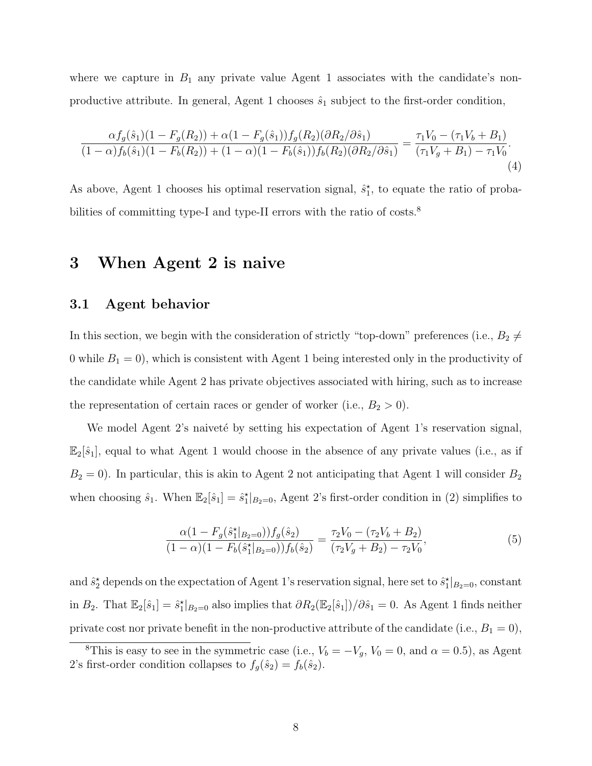where we capture in  $B_1$  any private value Agent 1 associates with the candidate's nonproductive attribute. In general, Agent 1 chooses  $\hat{s}_1$  subject to the first-order condition,

<span id="page-10-1"></span>
$$
\frac{\alpha f_g(\hat{s}_1)(1 - F_g(R_2)) + \alpha (1 - F_g(\hat{s}_1)) f_g(R_2)(\partial R_2/\partial \hat{s}_1)}{(1 - \alpha) f_b(\hat{s}_1)(1 - F_b(R_2)) + (1 - \alpha)(1 - F_b(\hat{s}_1)) f_b(R_2)(\partial R_2/\partial \hat{s}_1)} = \frac{\tau_1 V_0 - (\tau_1 V_b + B_1)}{(\tau_1 V_g + B_1) - \tau_1 V_0}.
$$
\n(4)

As above, Agent 1 chooses his optimal reservation signal,  $\hat{s}_1^*$ , to equate the ratio of probabilities of committing type-I and type-II errors with the ratio of costs.<sup>8</sup>

## <span id="page-10-0"></span>3 When Agent 2 is naive

#### 3.1 Agent behavior

In this section, we begin with the consideration of strictly "top-down" preferences (i.e.,  $B_2 \neq$ 0 while  $B_1 = 0$ , which is consistent with Agent 1 being interested only in the productivity of the candidate while Agent 2 has private objectives associated with hiring, such as to increase the representation of certain races or gender of worker (i.e.,  $B_2 > 0$ ).

We model Agent 2's naiveté by setting his expectation of Agent 1's reservation signal,  $\mathbb{E}_2[\hat{s}_1]$ , equal to what Agent 1 would choose in the absence of any private values (i.e., as if  $B_2 = 0$ ). In particular, this is akin to Agent 2 not anticipating that Agent 1 will consider  $B_2$ when choosing  $\hat{s}_1$ . When  $\mathbb{E}_2[\hat{s}_1] = \hat{s}_1^*|_{B_2=0}$ , Agent 2's first-order condition in [\(2\)](#page-9-0) simplifies to

$$
\frac{\alpha(1 - F_g(\hat{s}_1^*|_{B_2=0}))f_g(\hat{s}_2)}{(1 - \alpha)(1 - F_b(\hat{s}_1^*|_{B_2=0}))f_b(\hat{s}_2)} = \frac{\tau_2 V_0 - (\tau_2 V_b + B_2)}{(\tau_2 V_g + B_2) - \tau_2 V_0},\tag{5}
$$

and  $\hat{s}_2^{\star}$  depends on the expectation of Agent 1's reservation signal, here set to  $\hat{s}_1^{\star}|_{B_2=0}$ , constant in  $B_2$ . That  $\mathbb{E}_2[\hat{s}_1] = \hat{s}_1^*|_{B_2=0}$  also implies that  $\partial R_2(\mathbb{E}_2[\hat{s}_1])/\partial \hat{s}_1 = 0$ . As Agent 1 finds neither private cost nor private benefit in the non-productive attribute of the candidate (i.e.,  $B_1 = 0$ ),

<sup>&</sup>lt;sup>8</sup>This is easy to see in the symmetric case (i.e.,  $V_b = -V_g$ ,  $V_0 = 0$ , and  $\alpha = 0.5$ ), as Agent 2's first-order condition collapses to  $f_g(\hat{s}_2) = f_b(\hat{s}_2)$ .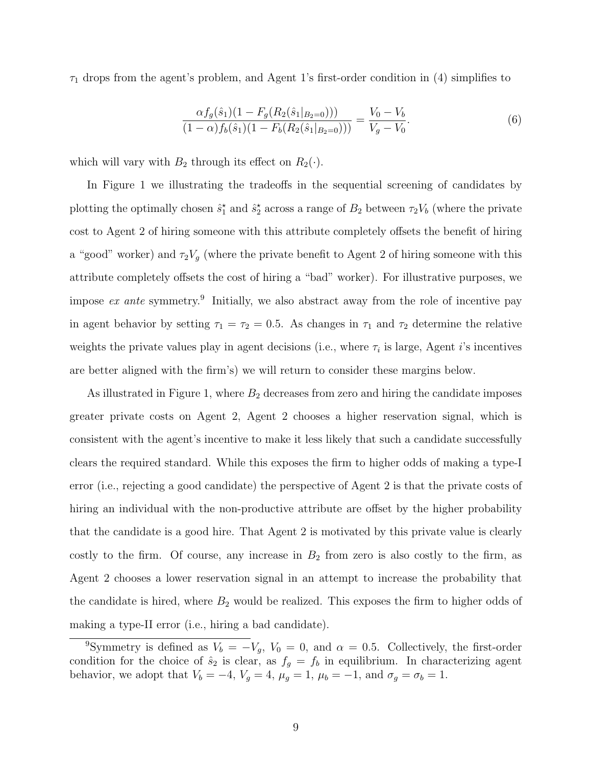$\tau_1$  drops from the agent's problem, and Agent 1's first-order condition in [\(4\)](#page-10-1) simplifies to

<span id="page-11-0"></span>
$$
\frac{\alpha f_g(\hat{s}_1)(1 - F_g(R_2(\hat{s}_1|_{B_2=0})))}{(1 - \alpha)f_b(\hat{s}_1)(1 - F_b(R_2(\hat{s}_1|_{B_2=0})))} = \frac{V_0 - V_b}{V_g - V_0}.
$$
\n(6)

which will vary with  $B_2$  through its effect on  $R_2(\cdot)$ .

In Figure [1](#page-28-0) we illustrating the tradeoffs in the sequential screening of candidates by plotting the optimally chosen  $\hat{s}_1^*$  and  $\hat{s}_2^*$  across a range of  $B_2$  between  $\tau_2V_b$  (where the private cost to Agent 2 of hiring someone with this attribute completely offsets the benefit of hiring a "good" worker) and  $\tau_2 V_g$  (where the private benefit to Agent 2 of hiring someone with this attribute completely offsets the cost of hiring a "bad" worker). For illustrative purposes, we impose  $ex$  ante symmetry.<sup>9</sup> Initially, we also abstract away from the role of incentive pay in agent behavior by setting  $\tau_1 = \tau_2 = 0.5$ . As changes in  $\tau_1$  and  $\tau_2$  determine the relative weights the private values play in agent decisions (i.e., where  $\tau_i$  is large, Agent *i*'s incentives are better aligned with the firm's) we will return to consider these margins below.

As illustrated in Figure [1,](#page-28-0) where  $B_2$  decreases from zero and hiring the candidate imposes greater private costs on Agent 2, Agent 2 chooses a higher reservation signal, which is consistent with the agent's incentive to make it less likely that such a candidate successfully clears the required standard. While this exposes the firm to higher odds of making a type-I error (i.e., rejecting a good candidate) the perspective of Agent 2 is that the private costs of hiring an individual with the non-productive attribute are offset by the higher probability that the candidate is a good hire. That Agent 2 is motivated by this private value is clearly costly to the firm. Of course, any increase in  $B_2$  from zero is also costly to the firm, as Agent 2 chooses a lower reservation signal in an attempt to increase the probability that the candidate is hired, where  $B_2$  would be realized. This exposes the firm to higher odds of making a type-II error (i.e., hiring a bad candidate).

<sup>&</sup>lt;sup>9</sup>Symmetry is defined as  $V_b = -V_g$ ,  $V_0 = 0$ , and  $\alpha = 0.5$ . Collectively, the first-order condition for the choice of  $\hat{s}_2$  is clear, as  $f_g = f_b$  in equilibrium. In characterizing agent behavior, we adopt that  $V_b = -4$ ,  $V_g = 4$ ,  $\mu_g = 1$ ,  $\mu_b = -1$ , and  $\sigma_g = \sigma_b = 1$ .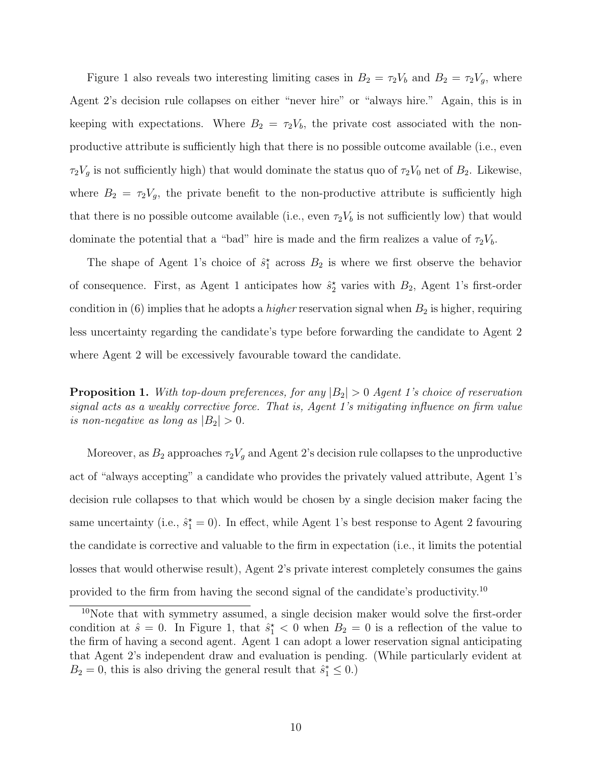Figure [1](#page-28-0) also reveals two interesting limiting cases in  $B_2 = \tau_2 V_b$  and  $B_2 = \tau_2 V_g$ , where Agent 2's decision rule collapses on either "never hire" or "always hire." Again, this is in keeping with expectations. Where  $B_2 = \tau_2 V_b$ , the private cost associated with the nonproductive attribute is sufficiently high that there is no possible outcome available (i.e., even  $\tau_2 V_g$  is not sufficiently high) that would dominate the status quo of  $\tau_2 V_0$  net of  $B_2$ . Likewise, where  $B_2 = \tau_2 V_g$ , the private benefit to the non-productive attribute is sufficiently high that there is no possible outcome available (i.e., even  $\tau_2V_b$  is not sufficiently low) that would dominate the potential that a "bad" hire is made and the firm realizes a value of  $\tau_2 V_b$ .

The shape of Agent 1's choice of  $\hat{s}_1^*$  across  $B_2$  is where we first observe the behavior of consequence. First, as Agent 1 anticipates how  $\hat{s}_2^{\star}$  varies with  $B_2$ , Agent 1's first-order condition in [\(6\)](#page-11-0) implies that he adopts a *higher* reservation signal when  $B_2$  is higher, requiring less uncertainty regarding the candidate's type before forwarding the candidate to Agent 2 where Agent 2 will be excessively favourable toward the candidate.

**Proposition 1.** With top-down preferences, for any  $|B_2| > 0$  Agent 1's choice of reservation signal acts as a weakly corrective force. That is, Agent 1's mitigating influence on firm value is non-negative as long as  $|B_2| > 0$ .

Moreover, as  $B_2$  approaches  $\tau_2 V_g$  and Agent 2's decision rule collapses to the unproductive act of "always accepting" a candidate who provides the privately valued attribute, Agent 1's decision rule collapses to that which would be chosen by a single decision maker facing the same uncertainty (i.e.,  $\hat{s}_1^* = 0$ ). In effect, while Agent 1's best response to Agent 2 favouring the candidate is corrective and valuable to the firm in expectation (i.e., it limits the potential losses that would otherwise result), Agent 2's private interest completely consumes the gains provided to the firm from having the second signal of the candidate's productivity.<sup>10</sup>

<sup>&</sup>lt;sup>10</sup>Note that with symmetry assumed, a single decision maker would solve the first-order condition at  $\hat{s} = 0$ . In Figure [1,](#page-28-0) that  $\hat{s}_1^* < 0$  when  $B_2 = 0$  is a reflection of the value to the firm of having a second agent. Agent 1 can adopt a lower reservation signal anticipating that Agent 2's independent draw and evaluation is pending. (While particularly evident at  $B_2 = 0$ , this is also driving the general result that  $\hat{s}_1^* \leq 0$ .)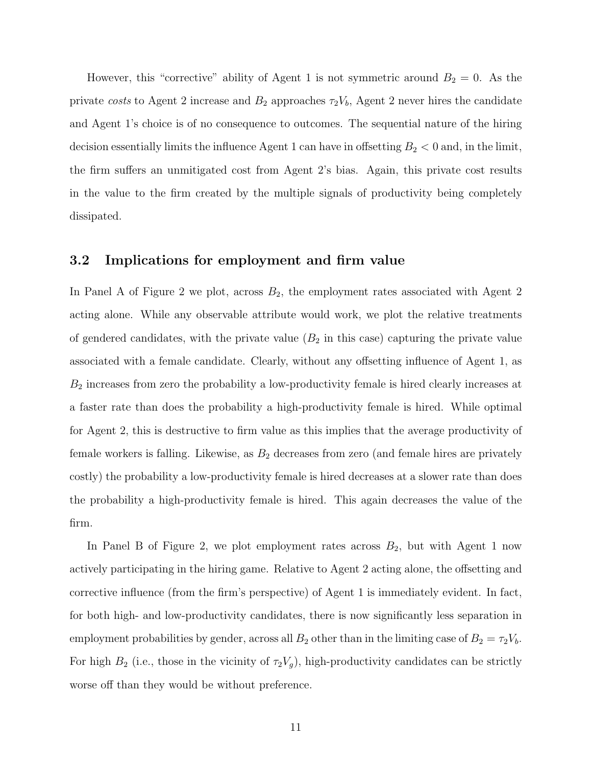However, this "corrective" ability of Agent 1 is not symmetric around  $B_2 = 0$ . As the private costs to Agent 2 increase and  $B_2$  approaches  $\tau_2V_b$ , Agent 2 never hires the candidate and Agent 1's choice is of no consequence to outcomes. The sequential nature of the hiring decision essentially limits the influence Agent 1 can have in offsetting  $B_2 < 0$  and, in the limit, the firm suffers an unmitigated cost from Agent 2's bias. Again, this private cost results in the value to the firm created by the multiple signals of productivity being completely dissipated.

#### 3.2 Implications for employment and firm value

In Panel A of Figure [2](#page-29-0) we plot, across  $B_2$ , the employment rates associated with Agent 2 acting alone. While any observable attribute would work, we plot the relative treatments of gendered candidates, with the private value  $(B_2 \text{ in this case})$  capturing the private value associated with a female candidate. Clearly, without any offsetting influence of Agent 1, as  $B_2$  increases from zero the probability a low-productivity female is hired clearly increases at a faster rate than does the probability a high-productivity female is hired. While optimal for Agent 2, this is destructive to firm value as this implies that the average productivity of female workers is falling. Likewise, as  $B_2$  decreases from zero (and female hires are privately costly) the probability a low-productivity female is hired decreases at a slower rate than does the probability a high-productivity female is hired. This again decreases the value of the firm.

In Panel B of Figure [2,](#page-29-0) we plot employment rates across  $B_2$ , but with Agent 1 now actively participating in the hiring game. Relative to Agent 2 acting alone, the offsetting and corrective influence (from the firm's perspective) of Agent 1 is immediately evident. In fact, for both high- and low-productivity candidates, there is now significantly less separation in employment probabilities by gender, across all  $B_2$  other than in the limiting case of  $B_2 = \tau_2 V_b$ . For high  $B_2$  (i.e., those in the vicinity of  $\tau_2 V_g$ ), high-productivity candidates can be strictly worse off than they would be without preference.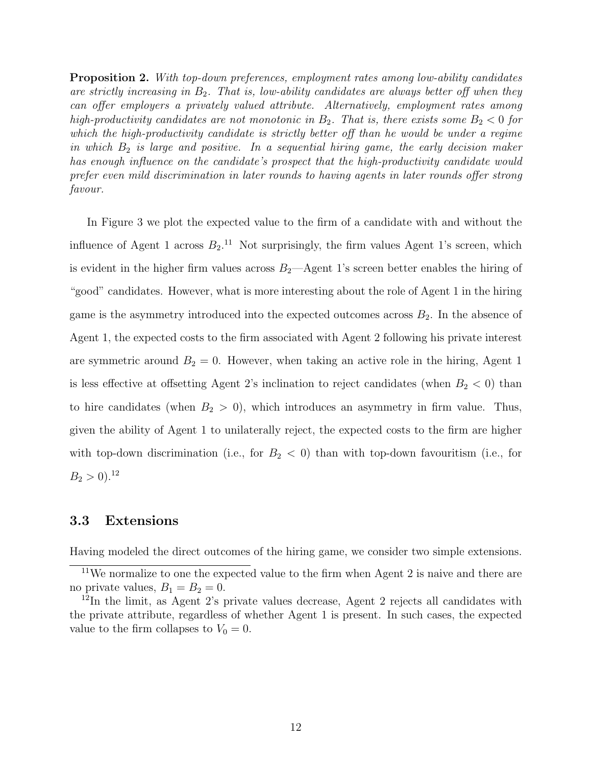Proposition 2. With top-down preferences, employment rates among low-ability candidates are strictly increasing in  $B_2$ . That is, low-ability candidates are always better off when they can offer employers a privately valued attribute. Alternatively, employment rates among high-productivity candidates are not monotonic in  $B_2$ . That is, there exists some  $B_2 < 0$  for which the high-productivity candidate is strictly better off than he would be under a regime in which  $B_2$  is large and positive. In a sequential hiring game, the early decision maker has enough influence on the candidate's prospect that the high-productivity candidate would prefer even mild discrimination in later rounds to having agents in later rounds offer strong favour.

In Figure [3](#page-30-0) we plot the expected value to the firm of a candidate with and without the influence of Agent 1 across  $B_2$ .<sup>11</sup> Not surprisingly, the firm values Agent 1's screen, which is evident in the higher firm values across  $B_2$ —Agent 1's screen better enables the hiring of "good" candidates. However, what is more interesting about the role of Agent 1 in the hiring game is the asymmetry introduced into the expected outcomes across  $B_2$ . In the absence of Agent 1, the expected costs to the firm associated with Agent 2 following his private interest are symmetric around  $B_2 = 0$ . However, when taking an active role in the hiring, Agent 1 is less effective at offsetting Agent 2's inclination to reject candidates (when  $B_2 < 0$ ) than to hire candidates (when  $B_2 > 0$ ), which introduces an asymmetry in firm value. Thus, given the ability of Agent 1 to unilaterally reject, the expected costs to the firm are higher with top-down discrimination (i.e., for  $B_2 < 0$ ) than with top-down favouritism (i.e., for  $B_2 > 0$ <sup>12</sup>

#### 3.3 Extensions

Having modeled the direct outcomes of the hiring game, we consider two simple extensions.

 $11$ We normalize to one the expected value to the firm when Agent 2 is naive and there are no private values,  $B_1 = B_2 = 0$ .

<sup>&</sup>lt;sup>12</sup>In the limit, as Agent 2's private values decrease, Agent 2 rejects all candidates with the private attribute, regardless of whether Agent 1 is present. In such cases, the expected value to the firm collapses to  $V_0 = 0$ .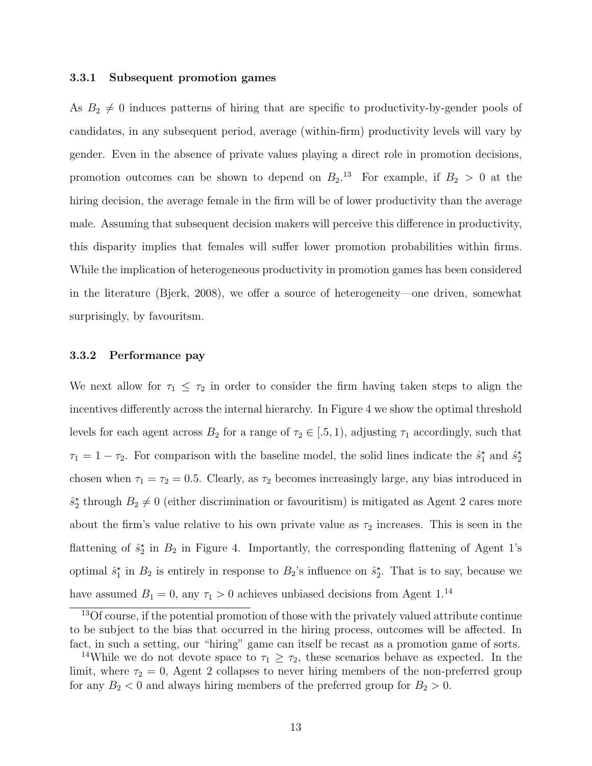#### 3.3.1 Subsequent promotion games

As  $B_2 \neq 0$  induces patterns of hiring that are specific to productivity-by-gender pools of candidates, in any subsequent period, average (within-firm) productivity levels will vary by gender. Even in the absence of private values playing a direct role in promotion decisions, promotion outcomes can be shown to depend on  $B_2$ .<sup>13</sup> For example, if  $B_2 > 0$  at the hiring decision, the average female in the firm will be of lower productivity than the average male. Assuming that subsequent decision makers will perceive this difference in productivity, this disparity implies that females will suffer lower promotion probabilities within firms. While the implication of heterogeneous productivity in promotion games has been considered in the literature [\(Bjerk, 2008\)](#page-26-14), we offer a source of heterogeneity—one driven, somewhat surprisingly, by favouritsm.

#### 3.3.2 Performance pay

We next allow for  $\tau_1 \leq \tau_2$  in order to consider the firm having taken steps to align the incentives differently across the internal hierarchy. In Figure [4](#page-30-1) we show the optimal threshold levels for each agent across  $B_2$  for a range of  $\tau_2 \in [.5,1)$ , adjusting  $\tau_1$  accordingly, such that  $\tau_1 = 1 - \tau_2$ . For comparison with the baseline model, the solid lines indicate the  $\hat{s}_1^*$  and  $\hat{s}_2^*$ chosen when  $\tau_1 = \tau_2 = 0.5$ . Clearly, as  $\tau_2$  becomes increasingly large, any bias introduced in  $\hat{s}_2^*$  through  $B_2 \neq 0$  (either discrimination or favouritism) is mitigated as Agent 2 cares more about the firm's value relative to his own private value as  $\tau_2$  increases. This is seen in the flattening of  $\hat{s}_2^{\star}$  in  $B_2$  in Figure [4.](#page-30-1) Importantly, the corresponding flattening of Agent 1's optimal  $\hat{s}_1^*$  in  $B_2$  is entirely in response to  $B_2$ 's influence on  $\hat{s}_2^*$ . That is to say, because we have assumed  $B_1 = 0$ , any  $\tau_1 > 0$  achieves unbiased decisions from Agent 1.<sup>14</sup>

<sup>&</sup>lt;sup>13</sup>Of course, if the potential promotion of those with the privately valued attribute continue to be subject to the bias that occurred in the hiring process, outcomes will be affected. In fact, in such a setting, our "hiring" game can itself be recast as a promotion game of sorts.

<sup>&</sup>lt;sup>14</sup>While we do not devote space to  $\tau_1 \geq \tau_2$ , these scenarios behave as expected. In the limit, where  $\tau_2 = 0$ , Agent 2 collapses to never hiring members of the non-preferred group for any  $B_2 < 0$  and always hiring members of the preferred group for  $B_2 > 0$ .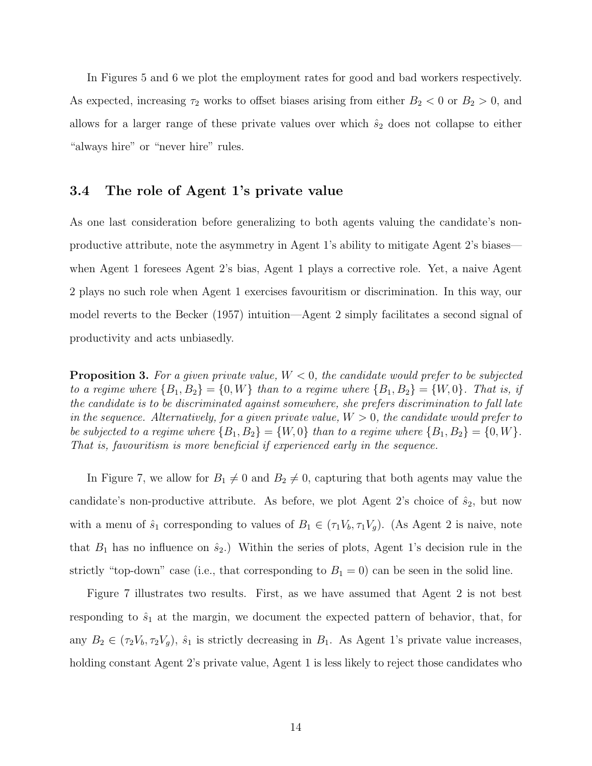In Figures [5](#page-31-0) and [6](#page-31-1) we plot the employment rates for good and bad workers respectively. As expected, increasing  $\tau_2$  works to offset biases arising from either  $B_2 < 0$  or  $B_2 > 0$ , and allows for a larger range of these private values over which  $\hat{s}_2$  does not collapse to either "always hire" or "never hire" rules.

#### 3.4 The role of Agent 1's private value

As one last consideration before generalizing to both agents valuing the candidate's nonproductive attribute, note the asymmetry in Agent 1's ability to mitigate Agent 2's biases when Agent 1 foresees Agent 2's bias, Agent 1 plays a corrective role. Yet, a naive Agent 2 plays no such role when Agent 1 exercises favouritism or discrimination. In this way, our model reverts to the [Becker \(1957\)](#page-26-4) intuition—Agent 2 simply facilitates a second signal of productivity and acts unbiasedly.

**Proposition 3.** For a given private value,  $W < 0$ , the candidate would prefer to be subjected to a regime where  ${B_1, B_2} = {0, W}$  than to a regime where  ${B_1, B_2} = {W, 0}$ . That is, if the candidate is to be discriminated against somewhere, she prefers discrimination to fall late in the sequence. Alternatively, for a given private value,  $W > 0$ , the candidate would prefer to be subjected to a regime where  $\{B_1, B_2\} = \{W, 0\}$  than to a regime where  $\{B_1, B_2\} = \{0, W\}$ . That is, favouritism is more beneficial if experienced early in the sequence.

In Figure [7,](#page-32-0) we allow for  $B_1 \neq 0$  and  $B_2 \neq 0$ , capturing that both agents may value the candidate's non-productive attribute. As before, we plot Agent 2's choice of  $\hat{s}_2$ , but now with a menu of  $\hat{s}_1$  corresponding to values of  $B_1 \in (\tau_1 V_b, \tau_1 V_g)$ . (As Agent 2 is naive, note that  $B_1$  has no influence on  $\hat{s}_2$ .) Within the series of plots, Agent 1's decision rule in the strictly "top-down" case (i.e., that corresponding to  $B_1 = 0$ ) can be seen in the solid line.

Figure [7](#page-32-0) illustrates two results. First, as we have assumed that Agent 2 is not best responding to  $\hat{s}_1$  at the margin, we document the expected pattern of behavior, that, for any  $B_2 \in (\tau_2 V_b, \tau_2 V_g)$ ,  $\hat{s}_1$  is strictly decreasing in  $B_1$ . As Agent 1's private value increases, holding constant Agent 2's private value, Agent 1 is less likely to reject those candidates who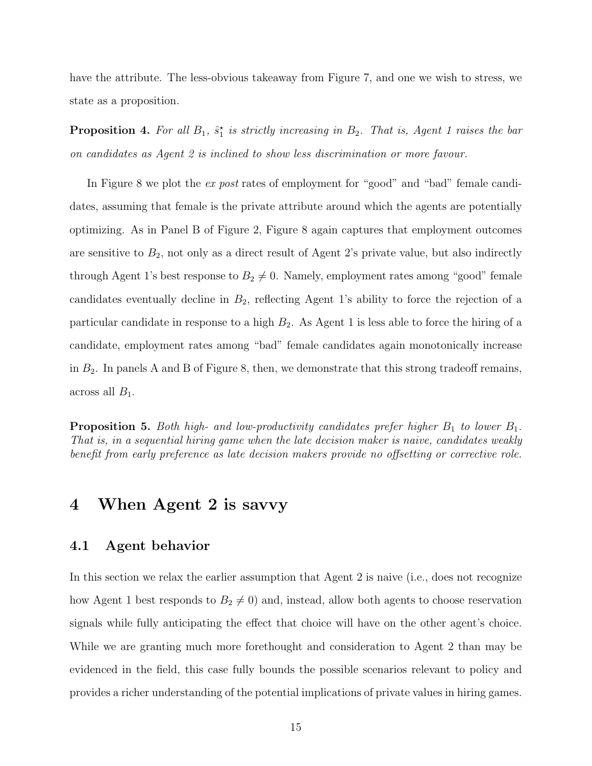have the attribute. The less-obvious takeaway from Figure [7,](#page-32-0) and one we wish to stress, we state as a proposition.

**Proposition 4.** For all  $B_1$ ,  $\hat{s}_1^*$  is strictly increasing in  $B_2$ . That is, Agent 1 raises the bar on candidates as Agent 2 is inclined to show less discrimination or more favour.

In Figure [8](#page-33-0) we plot the *ex post* rates of employment for "good" and "bad" female candidates, assuming that female is the private attribute around which the agents are potentially optimizing. As in Panel B of Figure [2,](#page-29-0) Figure [8](#page-33-0) again captures that employment outcomes are sensitive to  $B_2$ , not only as a direct result of Agent 2's private value, but also indirectly through Agent 1's best response to  $B_2 \neq 0$ . Namely, employment rates among "good" female candidates eventually decline in  $B_2$ , reflecting Agent 1's ability to force the rejection of a particular candidate in response to a high  $B_2$ . As Agent 1 is less able to force the hiring of a candidate, employment rates among "bad" female candidates again monotonically increase in  $B_2$ . In panels A and B of Figure [8,](#page-33-0) then, we demonstrate that this strong tradeoff remains, across all  $B_1$ .

**Proposition 5.** Both high- and low-productivity candidates prefer higher  $B_1$  to lower  $B_1$ . That is, in a sequential hiring game when the late decision maker is naive, candidates weakly benefit from early preference as late decision makers provide no offsetting or corrective role.

## <span id="page-17-0"></span>4 When Agent 2 is savvy

#### 4.1 Agent behavior

In this section we relax the earlier assumption that Agent 2 is naive (i.e., does not recognize how Agent 1 best responds to  $B_2 \neq 0$ ) and, instead, allow both agents to choose reservation signals while fully anticipating the effect that choice will have on the other agent's choice. While we are granting much more forethought and consideration to Agent 2 than may be evidenced in the field, this case fully bounds the possible scenarios relevant to policy and provides a richer understanding of the potential implications of private values in hiring games.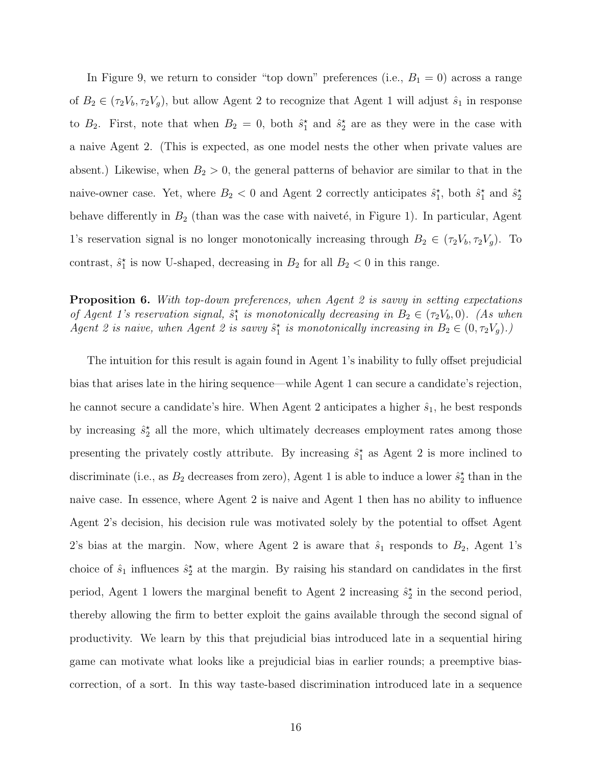In Figure [9,](#page-34-0) we return to consider "top down" preferences (i.e.,  $B_1 = 0$ ) across a range of  $B_2 \in (\tau_2 V_b, \tau_2 V_g)$ , but allow Agent 2 to recognize that Agent 1 will adjust  $\hat{s}_1$  in response to  $B_2$ . First, note that when  $B_2 = 0$ , both  $\hat{s}_1^*$  and  $\hat{s}_2^*$  are as they were in the case with a naive Agent 2. (This is expected, as one model nests the other when private values are absent.) Likewise, when  $B_2 > 0$ , the general patterns of behavior are similar to that in the naive-owner case. Yet, where  $B_2 < 0$  and Agent 2 correctly anticipates  $\hat{s}_1^*$ , both  $\hat{s}_1^*$  and  $\hat{s}_2^*$ behave differently in  $B_2$  (than was the case with naiveté, in Figure [1\)](#page-28-0). In particular, Agent 1's reservation signal is no longer monotonically increasing through  $B_2 \in (\tau_2 V_b, \tau_2 V_g)$ . To contrast,  $\hat{s}_1^*$  is now U-shaped, decreasing in  $B_2$  for all  $B_2 < 0$  in this range.

Proposition 6. With top-down preferences, when Agent 2 is savvy in setting expectations of Agent 1's reservation signal,  $\hat{s}_1^*$  is monotonically decreasing in  $B_2 \in (\tau_2 V_b, 0)$ . (As when Agent 2 is naive, when Agent 2 is savvy  $\hat{s}_1^*$  is monotonically increasing in  $B_2 \in (0, \tau_2 V_g)$ .)

The intuition for this result is again found in Agent 1's inability to fully offset prejudicial bias that arises late in the hiring sequence—while Agent 1 can secure a candidate's rejection, he cannot secure a candidate's hire. When Agent 2 anticipates a higher  $\hat{s}_1$ , he best responds by increasing  $\hat{s}_2^*$  all the more, which ultimately decreases employment rates among those presenting the privately costly attribute. By increasing  $\hat{s}_1^*$  as Agent 2 is more inclined to discriminate (i.e., as  $B_2$  decreases from zero), Agent 1 is able to induce a lower  $\hat{s}_2^{\star}$  than in the naive case. In essence, where Agent 2 is naive and Agent 1 then has no ability to influence Agent 2's decision, his decision rule was motivated solely by the potential to offset Agent 2's bias at the margin. Now, where Agent 2 is aware that  $\hat{s}_1$  responds to  $B_2$ , Agent 1's choice of  $\hat{s}_1$  influences  $\hat{s}_2^*$  at the margin. By raising his standard on candidates in the first period, Agent 1 lowers the marginal benefit to Agent 2 increasing  $\hat{s}_2^*$  in the second period, thereby allowing the firm to better exploit the gains available through the second signal of productivity. We learn by this that prejudicial bias introduced late in a sequential hiring game can motivate what looks like a prejudicial bias in earlier rounds; a preemptive biascorrection, of a sort. In this way taste-based discrimination introduced late in a sequence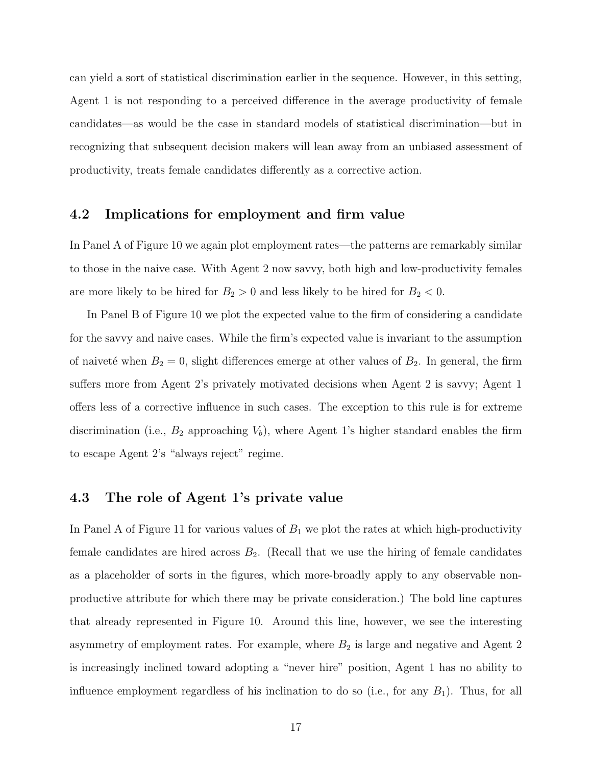can yield a sort of statistical discrimination earlier in the sequence. However, in this setting, Agent 1 is not responding to a perceived difference in the average productivity of female candidates—as would be the case in standard models of statistical discrimination—but in recognizing that subsequent decision makers will lean away from an unbiased assessment of productivity, treats female candidates differently as a corrective action.

#### 4.2 Implications for employment and firm value

In Panel A of Figure [10](#page-35-0) we again plot employment rates—the patterns are remarkably similar to those in the naive case. With Agent 2 now savvy, both high and low-productivity females are more likely to be hired for  $B_2 > 0$  and less likely to be hired for  $B_2 < 0$ .

In Panel B of Figure [10](#page-35-0) we plot the expected value to the firm of considering a candidate for the savvy and naive cases. While the firm's expected value is invariant to the assumption of naiveté when  $B_2 = 0$ , slight differences emerge at other values of  $B_2$ . In general, the firm suffers more from Agent 2's privately motivated decisions when Agent 2 is savvy; Agent 1 offers less of a corrective influence in such cases. The exception to this rule is for extreme discrimination (i.e.,  $B_2$  approaching  $V_b$ ), where Agent 1's higher standard enables the firm to escape Agent 2's "always reject" regime.

#### 4.3 The role of Agent 1's private value

In Panel A of Figure [11](#page-36-0) for various values of  $B_1$  we plot the rates at which high-productivity female candidates are hired across  $B_2$ . (Recall that we use the hiring of female candidates as a placeholder of sorts in the figures, which more-broadly apply to any observable nonproductive attribute for which there may be private consideration.) The bold line captures that already represented in Figure [10.](#page-35-0) Around this line, however, we see the interesting asymmetry of employment rates. For example, where  $B_2$  is large and negative and Agent 2 is increasingly inclined toward adopting a "never hire" position, Agent 1 has no ability to influence employment regardless of his inclination to do so (i.e., for any  $B_1$ ). Thus, for all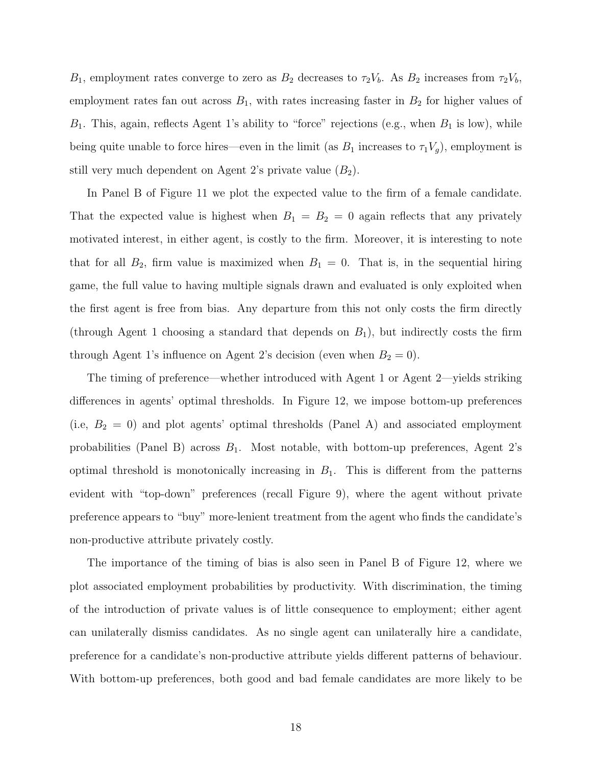$B_1$ , employment rates converge to zero as  $B_2$  decreases to  $\tau_2V_b$ . As  $B_2$  increases from  $\tau_2V_b$ , employment rates fan out across  $B_1$ , with rates increasing faster in  $B_2$  for higher values of  $B_1$ . This, again, reflects Agent 1's ability to "force" rejections (e.g., when  $B_1$  is low), while being quite unable to force hires—even in the limit (as  $B_1$  increases to  $\tau_1 V_g$ ), employment is still very much dependent on Agent 2's private value  $(B_2)$ .

In Panel B of Figure [11](#page-36-0) we plot the expected value to the firm of a female candidate. That the expected value is highest when  $B_1 = B_2 = 0$  again reflects that any privately motivated interest, in either agent, is costly to the firm. Moreover, it is interesting to note that for all  $B_2$ , firm value is maximized when  $B_1 = 0$ . That is, in the sequential hiring game, the full value to having multiple signals drawn and evaluated is only exploited when the first agent is free from bias. Any departure from this not only costs the firm directly (through Agent 1 choosing a standard that depends on  $B_1$ ), but indirectly costs the firm through Agent 1's influence on Agent 2's decision (even when  $B_2 = 0$ ).

The timing of preference—whether introduced with Agent 1 or Agent 2—yields striking differences in agents' optimal thresholds. In Figure [12,](#page-37-0) we impose bottom-up preferences (i.e,  $B_2 = 0$ ) and plot agents' optimal thresholds (Panel A) and associated employment probabilities (Panel B) across  $B_1$ . Most notable, with bottom-up preferences, Agent 2's optimal threshold is monotonically increasing in  $B_1$ . This is different from the patterns evident with "top-down" preferences (recall Figure [9\)](#page-34-0), where the agent without private preference appears to "buy" more-lenient treatment from the agent who finds the candidate's non-productive attribute privately costly.

The importance of the timing of bias is also seen in Panel B of Figure [12,](#page-37-0) where we plot associated employment probabilities by productivity. With discrimination, the timing of the introduction of private values is of little consequence to employment; either agent can unilaterally dismiss candidates. As no single agent can unilaterally hire a candidate, preference for a candidate's non-productive attribute yields different patterns of behaviour. With bottom-up preferences, both good and bad female candidates are more likely to be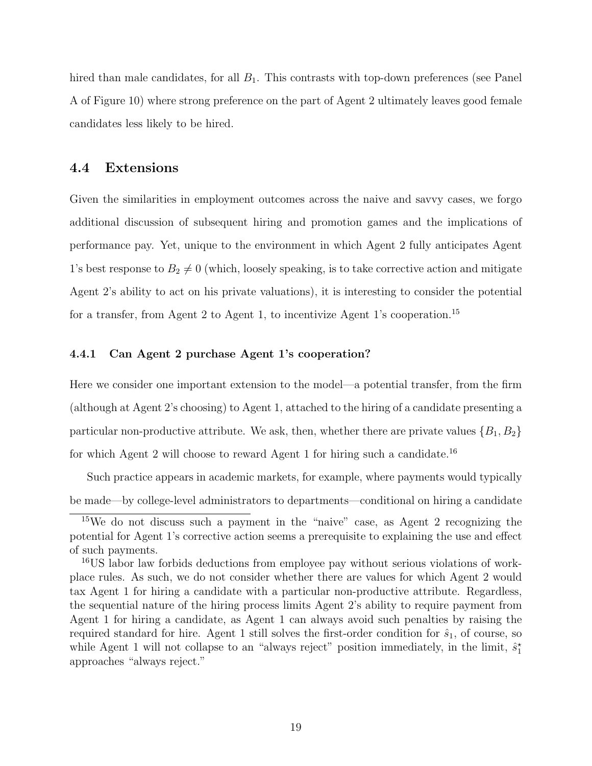hired than male candidates, for all  $B_1$ . This contrasts with top-down preferences (see Panel A of Figure [10\)](#page-35-0) where strong preference on the part of Agent 2 ultimately leaves good female candidates less likely to be hired.

#### 4.4 Extensions

Given the similarities in employment outcomes across the naive and savvy cases, we forgo additional discussion of subsequent hiring and promotion games and the implications of performance pay. Yet, unique to the environment in which Agent 2 fully anticipates Agent 1's best response to  $B_2 \neq 0$  (which, loosely speaking, is to take corrective action and mitigate Agent 2's ability to act on his private valuations), it is interesting to consider the potential for a transfer, from Agent 2 to Agent 1, to incentivize Agent 1's cooperation.<sup>15</sup>

#### 4.4.1 Can Agent 2 purchase Agent 1's cooperation?

Here we consider one important extension to the model—a potential transfer, from the firm (although at Agent 2's choosing) to Agent 1, attached to the hiring of a candidate presenting a particular non-productive attribute. We ask, then, whether there are private values  $\{B_1, B_2\}$ for which Agent 2 will choose to reward Agent 1 for hiring such a candidate.<sup>16</sup>

Such practice appears in academic markets, for example, where payments would typically be made—by college-level administrators to departments—conditional on hiring a candidate

<sup>15</sup>We do not discuss such a payment in the "naive" case, as Agent 2 recognizing the potential for Agent 1's corrective action seems a prerequisite to explaining the use and effect of such payments.

<sup>16</sup>US labor law forbids deductions from employee pay without serious violations of workplace rules. As such, we do not consider whether there are values for which Agent 2 would tax Agent 1 for hiring a candidate with a particular non-productive attribute. Regardless, the sequential nature of the hiring process limits Agent 2's ability to require payment from Agent 1 for hiring a candidate, as Agent 1 can always avoid such penalties by raising the required standard for hire. Agent 1 still solves the first-order condition for  $\hat{s}_1$ , of course, so while Agent 1 will not collapse to an "always reject" position immediately, in the limit,  $\hat{s}_1^*$ approaches "always reject."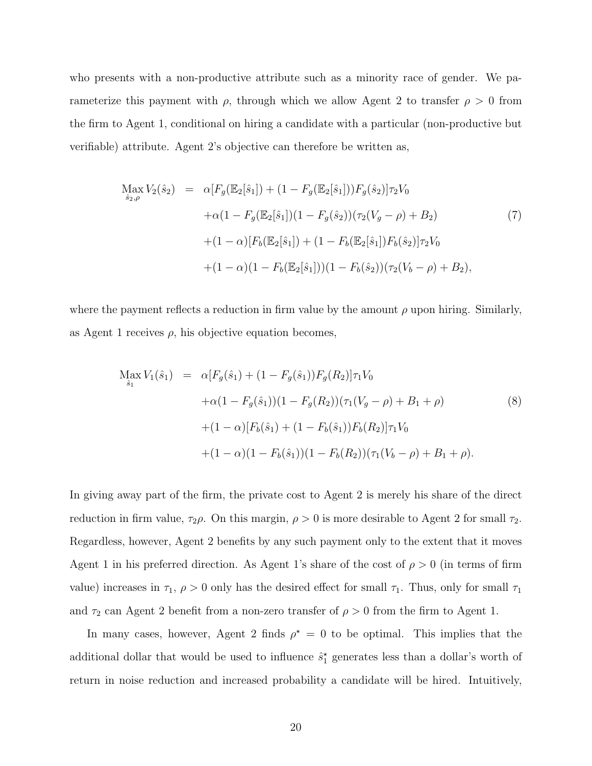who presents with a non-productive attribute such as a minority race of gender. We parameterize this payment with  $\rho$ , through which we allow Agent 2 to transfer  $\rho > 0$  from the firm to Agent 1, conditional on hiring a candidate with a particular (non-productive but verifiable) attribute. Agent 2's objective can therefore be written as,

$$
\begin{split} \max_{\hat{s}_2,\rho} V_2(\hat{s}_2) &= \alpha \big[ F_g(\mathbb{E}_2[\hat{s}_1]) + (1 - F_g(\mathbb{E}_2[\hat{s}_1])) F_g(\hat{s}_2) \big] \tau_2 V_0 \\ &+ \alpha (1 - F_g(\mathbb{E}_2[\hat{s}_1]) (1 - F_g(\hat{s}_2)) (\tau_2(V_g - \rho) + B_2) \\ &+ (1 - \alpha) \big[ F_b(\mathbb{E}_2[\hat{s}_1]) + (1 - F_b(\mathbb{E}_2[\hat{s}_1]) F_b(\hat{s}_2) \big] \tau_2 V_0 \\ &+ (1 - \alpha) (1 - F_b(\mathbb{E}_2[\hat{s}_1])) (1 - F_b(\hat{s}_2)) (\tau_2(V_b - \rho) + B_2), \end{split} \tag{7}
$$

where the payment reflects a reduction in firm value by the amount  $\rho$  upon hiring. Similarly, as Agent 1 receives  $\rho$ , his objective equation becomes,

$$
\begin{split} \text{Max } V_{1}(\hat{s}_{1}) &= \alpha [F_{g}(\hat{s}_{1}) + (1 - F_{g}(\hat{s}_{1})) F_{g}(R_{2})] \tau_{1} V_{0} \\ &+ \alpha (1 - F_{g}(\hat{s}_{1})) (1 - F_{g}(R_{2})) (\tau_{1}(V_{g} - \rho) + B_{1} + \rho) \\ &+ (1 - \alpha) [F_{b}(\hat{s}_{1}) + (1 - F_{b}(\hat{s}_{1})) F_{b}(R_{2})] \tau_{1} V_{0} \\ &+ (1 - \alpha) (1 - F_{b}(\hat{s}_{1})) (1 - F_{b}(R_{2})) (\tau_{1}(V_{b} - \rho) + B_{1} + \rho). \end{split} \tag{8}
$$

In giving away part of the firm, the private cost to Agent 2 is merely his share of the direct reduction in firm value,  $\tau_2 \rho$ . On this margin,  $\rho > 0$  is more desirable to Agent 2 for small  $\tau_2$ . Regardless, however, Agent 2 benefits by any such payment only to the extent that it moves Agent 1 in his preferred direction. As Agent 1's share of the cost of  $\rho > 0$  (in terms of firm value) increases in  $\tau_1$ ,  $\rho > 0$  only has the desired effect for small  $\tau_1$ . Thus, only for small  $\tau_1$ and  $\tau_2$  can Agent 2 benefit from a non-zero transfer of  $\rho > 0$  from the firm to Agent 1.

In many cases, however, Agent 2 finds  $\rho^* = 0$  to be optimal. This implies that the additional dollar that would be used to influence  $\hat{s}_1^*$  generates less than a dollar's worth of return in noise reduction and increased probability a candidate will be hired. Intuitively,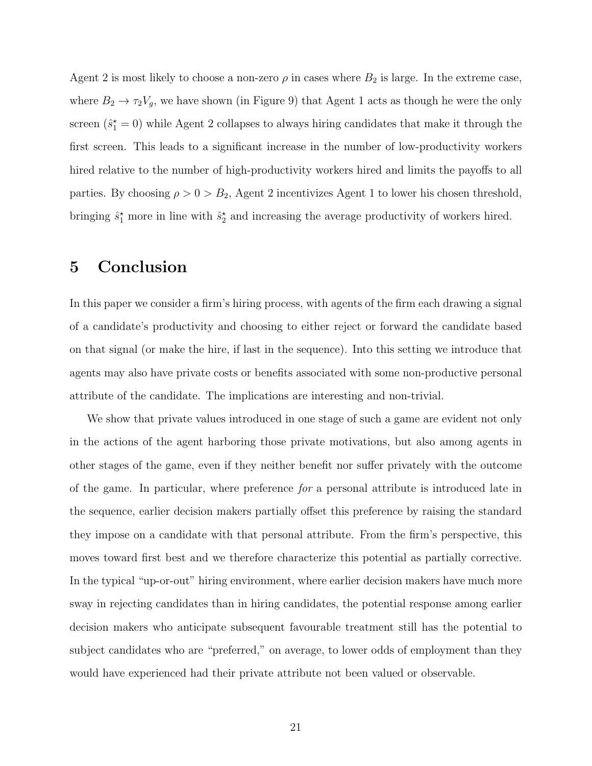Agent 2 is most likely to choose a non-zero  $\rho$  in cases where  $B_2$  is large. In the extreme case, where  $B_2 \to \tau_2 V_g$ , we have shown (in Figure [9\)](#page-34-0) that Agent 1 acts as though he were the only screen  $(\hat{s}_1^* = 0)$  while Agent 2 collapses to always hiring candidates that make it through the first screen. This leads to a significant increase in the number of low-productivity workers hired relative to the number of high-productivity workers hired and limits the payoffs to all parties. By choosing  $\rho > 0 > B_2$ , Agent 2 incentivizes Agent 1 to lower his chosen threshold, bringing  $\hat{s}_1^*$  more in line with  $\hat{s}_2^*$  and increasing the average productivity of workers hired.

## <span id="page-23-0"></span>5 Conclusion

In this paper we consider a firm's hiring process, with agents of the firm each drawing a signal of a candidate's productivity and choosing to either reject or forward the candidate based on that signal (or make the hire, if last in the sequence). Into this setting we introduce that agents may also have private costs or benefits associated with some non-productive personal attribute of the candidate. The implications are interesting and non-trivial.

We show that private values introduced in one stage of such a game are evident not only in the actions of the agent harboring those private motivations, but also among agents in other stages of the game, even if they neither benefit nor suffer privately with the outcome of the game. In particular, where preference for a personal attribute is introduced late in the sequence, earlier decision makers partially offset this preference by raising the standard they impose on a candidate with that personal attribute. From the firm's perspective, this moves toward first best and we therefore characterize this potential as partially corrective. In the typical "up-or-out" hiring environment, where earlier decision makers have much more sway in rejecting candidates than in hiring candidates, the potential response among earlier decision makers who anticipate subsequent favourable treatment still has the potential to subject candidates who are "preferred," on average, to lower odds of employment than they would have experienced had their private attribute not been valued or observable.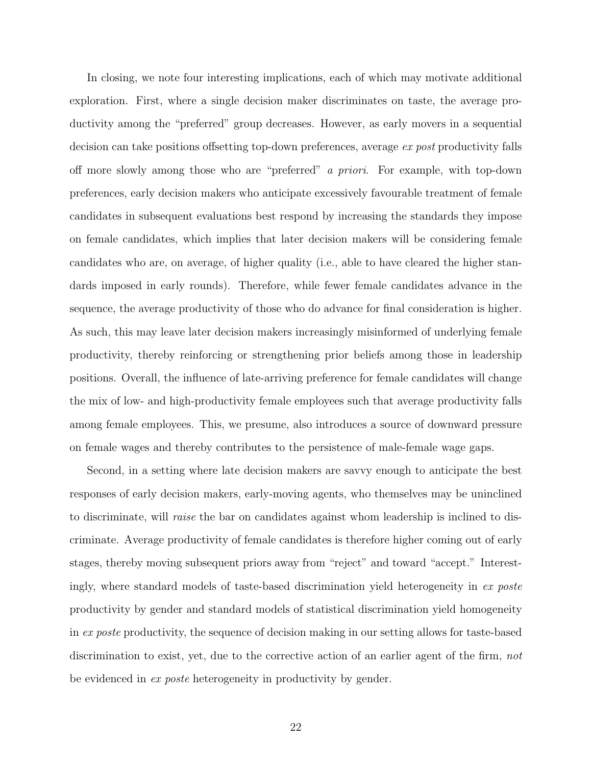In closing, we note four interesting implications, each of which may motivate additional exploration. First, where a single decision maker discriminates on taste, the average productivity among the "preferred" group decreases. However, as early movers in a sequential decision can take positions offsetting top-down preferences, average ex post productivity falls off more slowly among those who are "preferred" a priori. For example, with top-down preferences, early decision makers who anticipate excessively favourable treatment of female candidates in subsequent evaluations best respond by increasing the standards they impose on female candidates, which implies that later decision makers will be considering female candidates who are, on average, of higher quality (i.e., able to have cleared the higher standards imposed in early rounds). Therefore, while fewer female candidates advance in the sequence, the average productivity of those who do advance for final consideration is higher. As such, this may leave later decision makers increasingly misinformed of underlying female productivity, thereby reinforcing or strengthening prior beliefs among those in leadership positions. Overall, the influence of late-arriving preference for female candidates will change the mix of low- and high-productivity female employees such that average productivity falls among female employees. This, we presume, also introduces a source of downward pressure on female wages and thereby contributes to the persistence of male-female wage gaps.

Second, in a setting where late decision makers are savvy enough to anticipate the best responses of early decision makers, early-moving agents, who themselves may be uninclined to discriminate, will raise the bar on candidates against whom leadership is inclined to discriminate. Average productivity of female candidates is therefore higher coming out of early stages, thereby moving subsequent priors away from "reject" and toward "accept." Interestingly, where standard models of taste-based discrimination yield heterogeneity in ex poste productivity by gender and standard models of statistical discrimination yield homogeneity in ex poste productivity, the sequence of decision making in our setting allows for taste-based discrimination to exist, yet, due to the corrective action of an earlier agent of the firm, not be evidenced in *ex poste* heterogeneity in productivity by gender.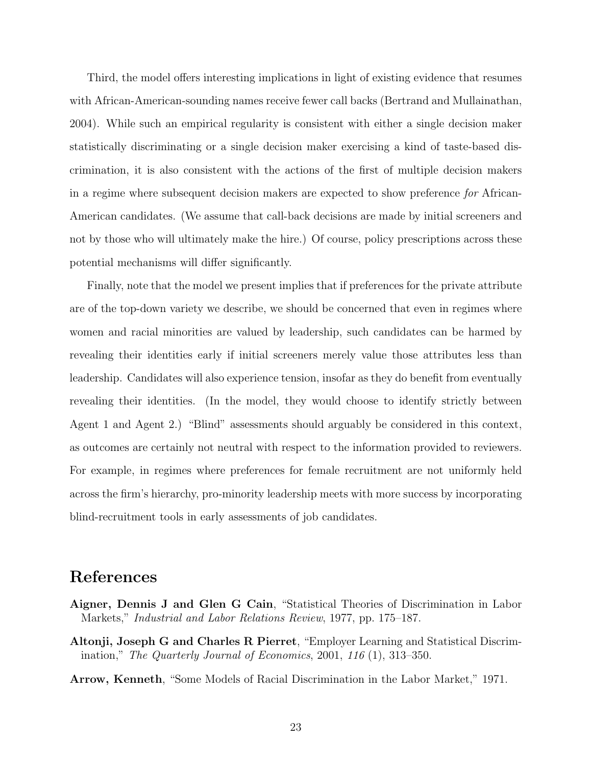Third, the model offers interesting implications in light of existing evidence that resumes with African-American-sounding names receive fewer call backs [\(Bertrand and Mullainathan,](#page-26-0) [2004\)](#page-26-0). While such an empirical regularity is consistent with either a single decision maker statistically discriminating or a single decision maker exercising a kind of taste-based discrimination, it is also consistent with the actions of the first of multiple decision makers in a regime where subsequent decision makers are expected to show preference for African-American candidates. (We assume that call-back decisions are made by initial screeners and not by those who will ultimately make the hire.) Of course, policy prescriptions across these potential mechanisms will differ significantly.

Finally, note that the model we present implies that if preferences for the private attribute are of the top-down variety we describe, we should be concerned that even in regimes where women and racial minorities are valued by leadership, such candidates can be harmed by revealing their identities early if initial screeners merely value those attributes less than leadership. Candidates will also experience tension, insofar as they do benefit from eventually revealing their identities. (In the model, they would choose to identify strictly between Agent 1 and Agent 2.) "Blind" assessments should arguably be considered in this context, as outcomes are certainly not neutral with respect to the information provided to reviewers. For example, in regimes where preferences for female recruitment are not uniformly held across the firm's hierarchy, pro-minority leadership meets with more success by incorporating blind-recruitment tools in early assessments of job candidates.

## References

- <span id="page-25-1"></span>Aigner, Dennis J and Glen G Cain, "Statistical Theories of Discrimination in Labor Markets," Industrial and Labor Relations Review, 1977, pp. 175–187.
- <span id="page-25-0"></span>Altonji, Joseph G and Charles R Pierret, "Employer Learning and Statistical Discrimination," The Quarterly Journal of Economics, 2001, 116 (1), 313–350.

<span id="page-25-2"></span>Arrow, Kenneth, "Some Models of Racial Discrimination in the Labor Market," 1971.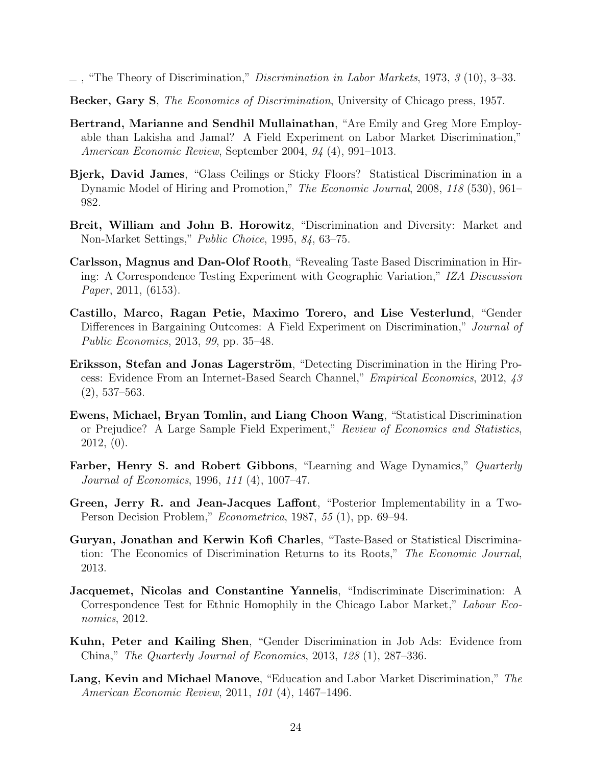- <span id="page-26-5"></span> $\Box$ , "The Theory of Discrimination," *Discrimination in Labor Markets*, 1973, 3 (10), 3–33.
- <span id="page-26-4"></span>Becker, Gary S, The Economics of Discrimination, University of Chicago press, 1957.
- <span id="page-26-0"></span>Bertrand, Marianne and Sendhil Mullainathan, "Are Emily and Greg More Employable than Lakisha and Jamal? A Field Experiment on Labor Market Discrimination," American Economic Review, September 2004, 94 (4), 991–1013.
- <span id="page-26-14"></span>Bjerk, David James, "Glass Ceilings or Sticky Floors? Statistical Discrimination in a Dynamic Model of Hiring and Promotion," The Economic Journal, 2008, 118 (530), 961– 982.
- <span id="page-26-10"></span>Breit, William and John B. Horowitz, "Discrimination and Diversity: Market and Non-Market Settings," Public Choice, 1995, 84, 63–75.
- <span id="page-26-1"></span>Carlsson, Magnus and Dan-Olof Rooth, "Revealing Taste Based Discrimination in Hiring: A Correspondence Testing Experiment with Geographic Variation," IZA Discussion Paper, 2011, (6153).
- <span id="page-26-2"></span>Castillo, Marco, Ragan Petie, Maximo Torero, and Lise Vesterlund, "Gender Differences in Bargaining Outcomes: A Field Experiment on Discrimination," Journal of Public Economics, 2013, 99, pp. 35–48.
- <span id="page-26-7"></span>Eriksson, Stefan and Jonas Lagerström, "Detecting Discrimination in the Hiring Process: Evidence From an Internet-Based Search Channel," Empirical Economics, 2012, 43 (2), 537–563.
- <span id="page-26-11"></span>Ewens, Michael, Bryan Tomlin, and Liang Choon Wang, "Statistical Discrimination or Prejudice? A Large Sample Field Experiment," Review of Economics and Statistics, 2012, (0).
- <span id="page-26-3"></span>Farber, Henry S. and Robert Gibbons, "Learning and Wage Dynamics," Quarterly Journal of Economics, 1996, 111 (4), 1007–47.
- <span id="page-26-6"></span>Green, Jerry R. and Jean-Jacques Laffont, "Posterior Implementability in a Two-Person Decision Problem," Econometrica, 1987, 55 (1), pp. 69–94.
- <span id="page-26-12"></span>Guryan, Jonathan and Kerwin Kofi Charles, "Taste-Based or Statistical Discrimination: The Economics of Discrimination Returns to its Roots," The Economic Journal, 2013.
- <span id="page-26-9"></span>Jacquemet, Nicolas and Constantine Yannelis, "Indiscriminate Discrimination: A Correspondence Test for Ethnic Homophily in the Chicago Labor Market," Labour Economics, 2012.
- <span id="page-26-8"></span>Kuhn, Peter and Kailing Shen, "Gender Discrimination in Job Ads: Evidence from China," The Quarterly Journal of Economics, 2013, 128 (1), 287–336.
- <span id="page-26-13"></span>Lang, Kevin and Michael Manove, "Education and Labor Market Discrimination," The American Economic Review, 2011, 101 (4), 1467–1496.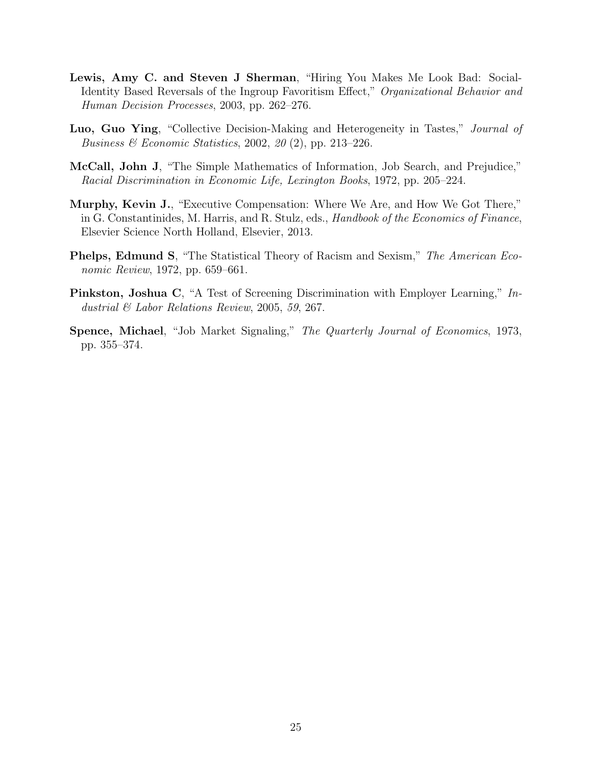- <span id="page-27-4"></span>Lewis, Amy C. and Steven J Sherman, "Hiring You Makes Me Look Bad: Social-Identity Based Reversals of the Ingroup Favoritism Effect," Organizational Behavior and Human Decision Processes, 2003, pp. 262–276.
- <span id="page-27-3"></span>Luo, Guo Ying, "Collective Decision-Making and Heterogeneity in Tastes," Journal of Business & Economic Statistics, 2002, 20 (2), pp. 213–226.
- <span id="page-27-1"></span>McCall, John J, "The Simple Mathematics of Information, Job Search, and Prejudice," Racial Discrimination in Economic Life, Lexington Books, 1972, pp. 205–224.
- <span id="page-27-6"></span>Murphy, Kevin J., "Executive Compensation: Where We Are, and How We Got There," in G. Constantinides, M. Harris, and R. Stulz, eds., Handbook of the Economics of Finance, Elsevier Science North Holland, Elsevier, 2013.
- <span id="page-27-0"></span>Phelps, Edmund S, "The Statistical Theory of Racism and Sexism," The American Economic Review, 1972, pp. 659–661.
- <span id="page-27-5"></span>Pinkston, Joshua C, "A Test of Screening Discrimination with Employer Learning," Industrial & Labor Relations Review, 2005, 59, 267.
- <span id="page-27-2"></span>Spence, Michael, "Job Market Signaling," The Quarterly Journal of Economics, 1973, pp. 355–374.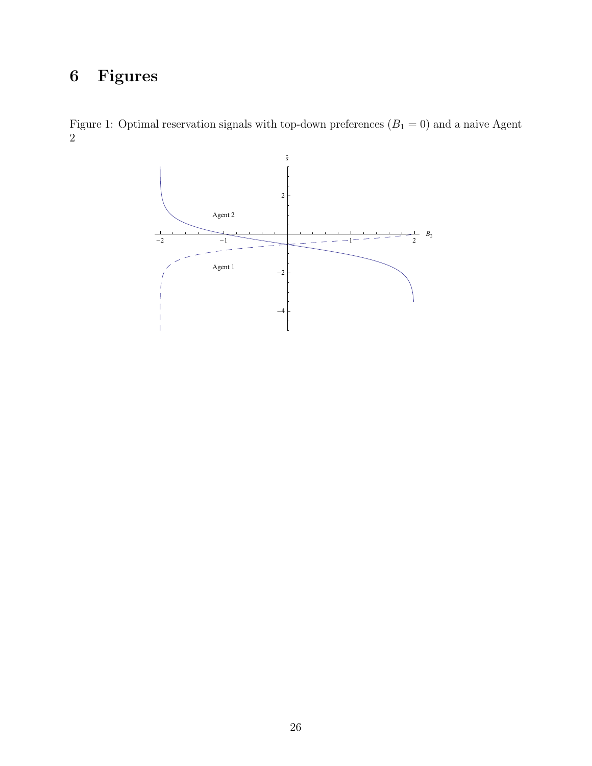# 6 Figures

Figure 1: Optimal reservation signals with top-down preferences  $(B_1 = 0)$  and a naive Agent 2

<span id="page-28-0"></span>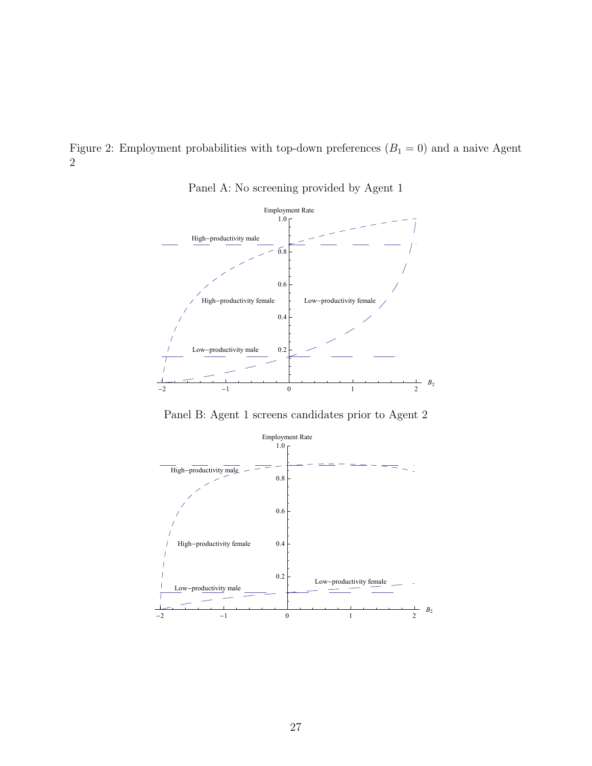<span id="page-29-0"></span>Figure 2: Employment probabilities with top-down preferences  $(B_1 = 0)$  and a naive Agent 2



Panel A: No screening provided by Agent 1

Panel B: Agent 1 screens candidates prior to Agent 2

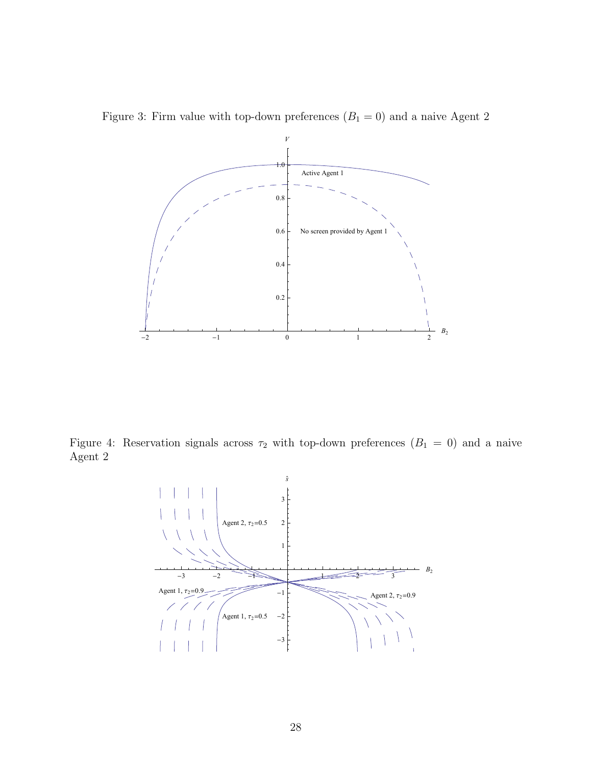

<span id="page-30-0"></span>

Figure 4: Reservation signals across  $\tau_2$  with top-down preferences  $(B_1 = 0)$  and a naive Agent 2

<span id="page-30-1"></span>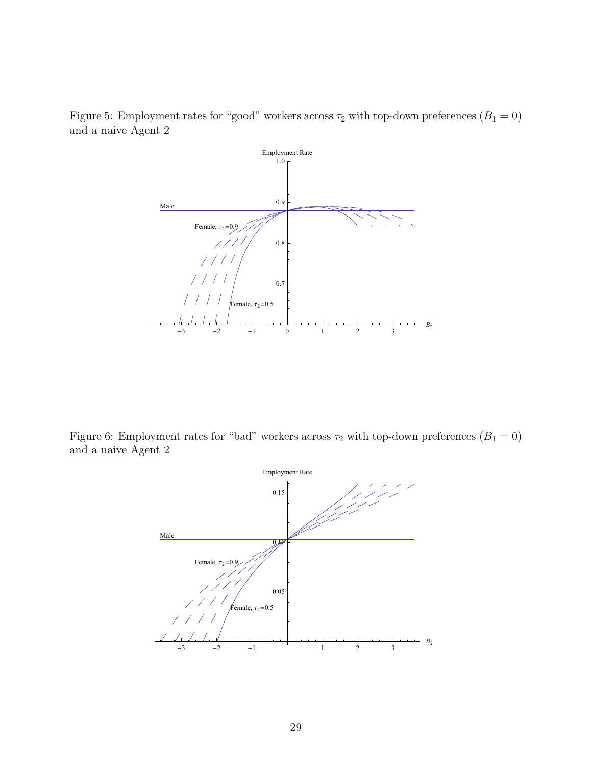Figure 5: Employment rates for "good" workers across  $\tau_2$  with top-down preferences  $(B_1 = 0)$ and a naive Agent 2

<span id="page-31-0"></span>

Figure 6: Employment rates for "bad" workers across  $\tau_2$  with top-down preferences  $(B_1 = 0)$ and a naive Agent 2

<span id="page-31-1"></span>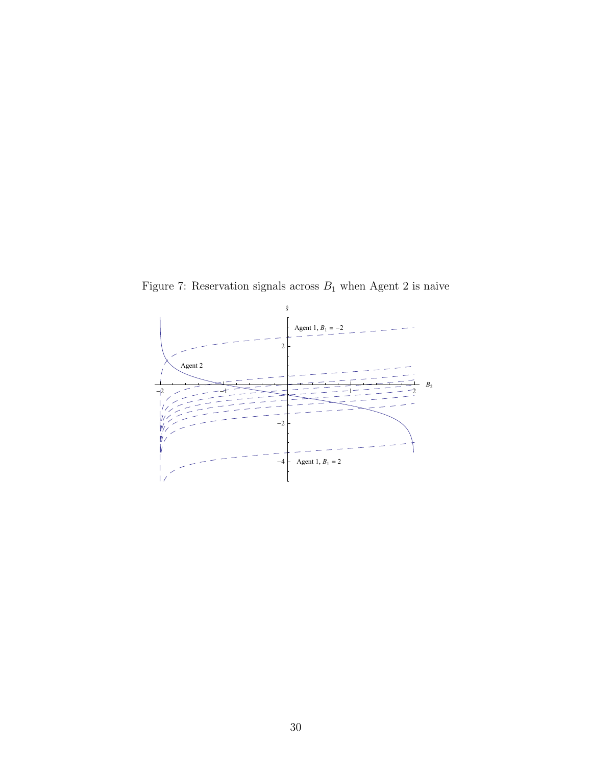<span id="page-32-0"></span>Figure 7: Reservation signals across  $B_1$  when Agent 2 is naive

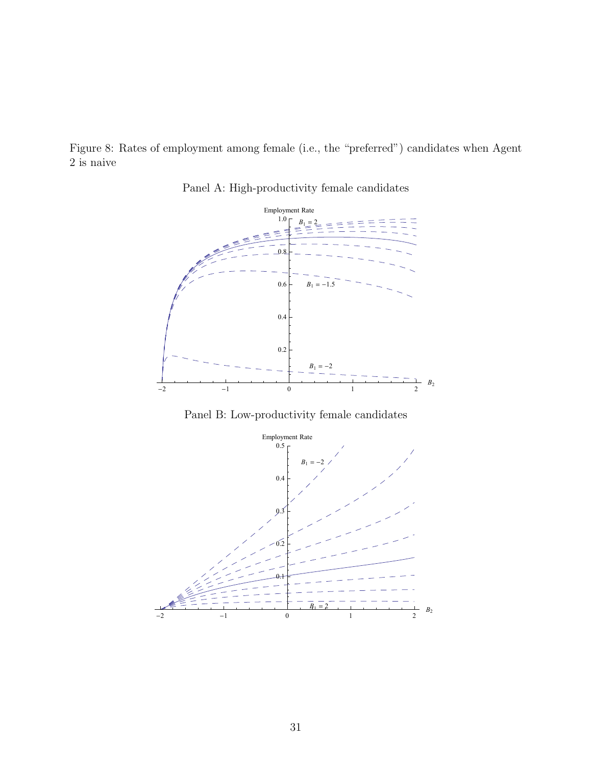<span id="page-33-0"></span>Figure 8: Rates of employment among female (i.e., the "preferred") candidates when Agent 2 is naive



Panel A: High-productivity female candidates

Panel B: Low-productivity female candidates

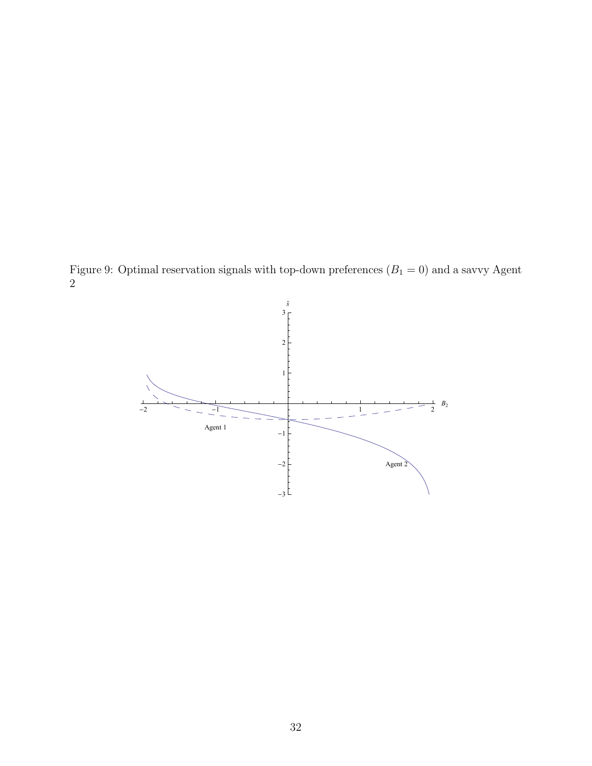Figure 9: Optimal reservation signals with top-down preferences  $(B_1 = 0)$  and a savvy Agent 2

<span id="page-34-0"></span>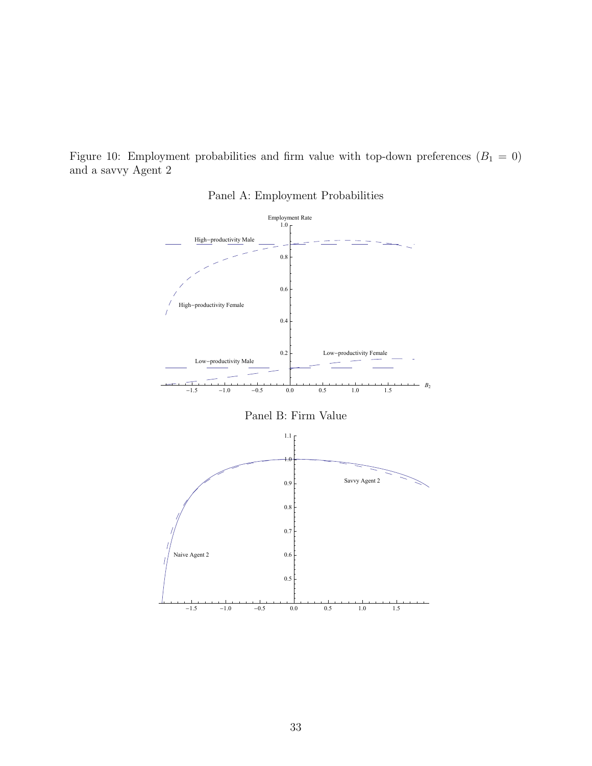Figure 10: Employment probabilities and firm value with top-down preferences  $(B_1 = 0)$ and a savvy Agent 2

<span id="page-35-0"></span>

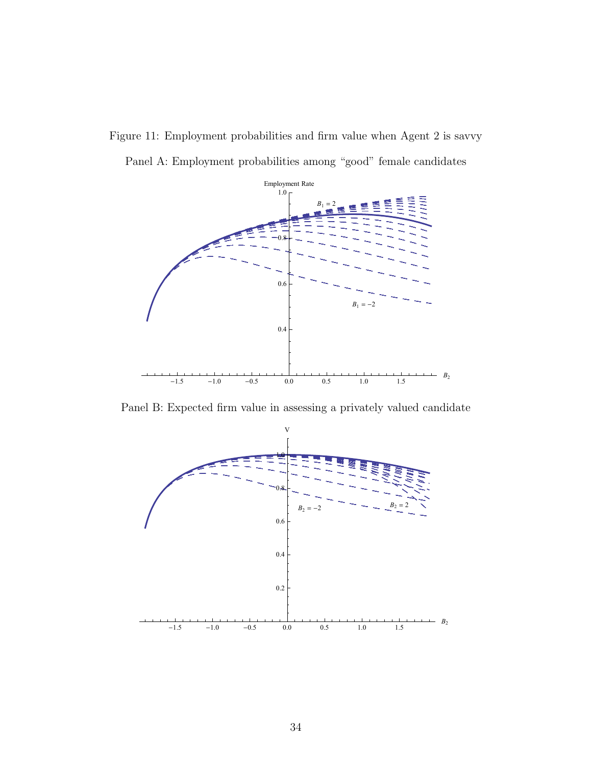

<span id="page-36-0"></span>Panel A: Employment probabilities among "good" female candidates



Panel B: Expected firm value in assessing a privately valued candidate